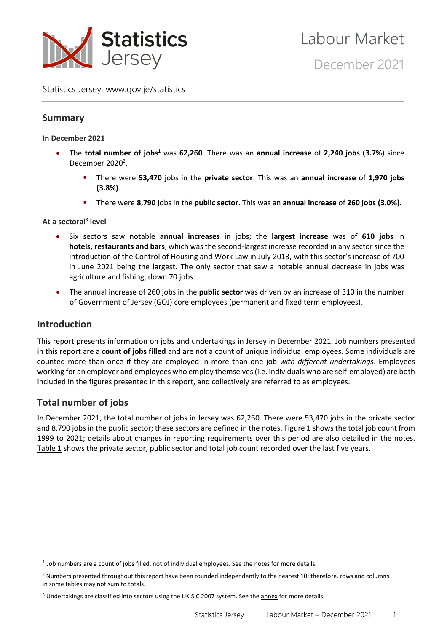

Statistics Jersey: [www.gov.je/statistics](https://www.gov.je/statistics)

# **Summary**

#### **In December 2021**

- The **total number of jobs<sup>1</sup>** was **62,260**. There was an **annual increase** of **2,240 jobs (3.7%)** since December 2020<sup>2</sup>.
	- There were **53,470** jobs in the **private sector**. This was an **annual increase** of **1,970 jobs (3.8%)**.
	- There were **8,790** jobs in the **public sector**. This was an **annual increase** of **260 jobs (3.0%)**.

#### **At a sectoral<sup>3</sup> level**

- Six sectors saw notable **annual increases** in jobs; the **largest increase** was of **610 jobs** in **hotels, restaurants and bars**, which was the second-largest increase recorded in any sector since the introduction of the Control of Housing and Work Law in July 2013, with this sector's increase of 700 in June 2021 being the largest. The only sector that saw a notable annual decrease in jobs was agriculture and fishing, down 70 jobs.
- The annual increase of 260 jobs in the **public sector** was driven by an increase of 310 in the number of Government of Jersey (GOJ) core employees (permanent and fixed term employees).

### **Introduction**

This report presents information on jobs and undertakings in Jersey in December 2021. Job numbers presented in this report are a **count of jobs filled** and are not a count of unique individual employees. Some individuals are counted more than once if they are employed in more than one job *with different undertakings*. Employees working for an employer and employees who employ themselves (i.e. individuals who are self-employed) are both included in the figures presented in this report, and collectively are referred to as employees.

# **Total number of jobs**

In December 2021, the total number of jobs in Jersey was 62,260. There were 53,470 jobs in the private sector and 8,790 jobs in the public sector; these sectors are defined in the [notes.](#page-18-0) [Figure](#page-1-0) 1 shows the total job count from 1999 to 2021; details about changes in reporting requirements over this period are also detailed in the [notes.](#page-18-0) [Table 1](#page-1-1) shows the private sector, public sector and total job count recorded over the last five years.

 $<sup>1</sup>$  Job numbers are a count of jobs filled, not of individual employees. See the [notes](#page-18-0) for more details.</sup>

<sup>&</sup>lt;sup>2</sup> Numbers presented throughout this report have been rounded independently to the nearest 10; therefore, rows and columns in some tables may not sum to totals.

<sup>&</sup>lt;sup>3</sup> Undertakings are classified into sectors using the UK SIC 2007 system. See the [annex](#page-17-0) for more details.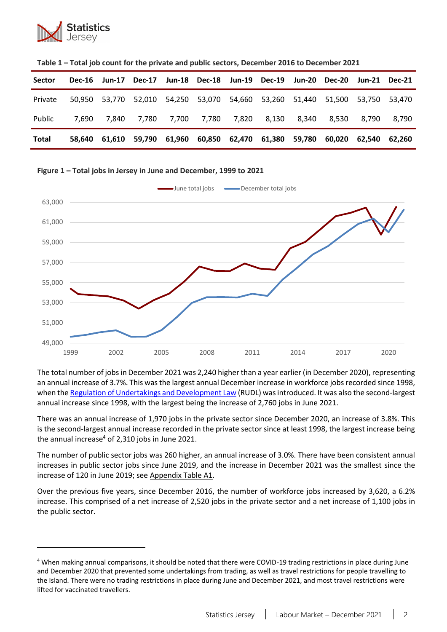

| <b>Sector</b> |       |       |       |       |       | Dec-16 Jun-17 Dec-17 Jun-18 Dec-18 Jun-19 Dec-19 Jun-20 Dec-20 Jun-21 Dec-21 |       |       |        |
|---------------|-------|-------|-------|-------|-------|------------------------------------------------------------------------------|-------|-------|--------|
| Private       |       |       |       |       |       | 50,950 53,770 52,010 54,250 53,070 54,660 53,260 51,440 51,500 53,750 53,470 |       |       |        |
| Public        | 7.690 | 7.840 | 7,780 | 7,700 | 7,780 | 7,820 8,130 8,340                                                            | 8.530 | 8.790 | 8.790  |
| <b>Total</b>  |       |       |       |       |       | 58,640 61,610 59,790 61,960 60,850 62,470 61,380 59,780 60,020 62,540        |       |       | 62.260 |

**Table 1 – Total job count for the private and public sectors, December 2016 to December 2021**

#### <span id="page-1-0"></span>**Figure 1 – Total jobs in Jersey in June and December, 1999 to 2021**



<span id="page-1-1"></span>The total number of jobs in December 2021 was 2,240 higher than a year earlier (in December 2020), representing an annual increase of 3.7%. This was the largest annual December increase in workforce jobs recorded since 1998, when th[e Regulation of Undertakings and Development Law](https://www.jerseylaw.je/laws/superseded/Pages/2006/05.750.30.aspx) (RUDL) was introduced. It was also the second-largest annual increase since 1998, with the largest being the increase of 2,760 jobs in June 2021.

There was an annual increase of 1,970 jobs in the private sector since December 2020, an increase of 3.8%. This is the second-largest annual increase recorded in the private sector since at least 1998, the largest increase being the annual increase $4$  of 2,310 jobs in June 2021.

The number of public sector jobs was 260 higher, an annual increase of 3.0%. There have been consistent annual increases in public sector jobs since June 2019, and the increase in December 2021 was the smallest since the increase of 120 in June 2019; se[e Appendix Table](#page-20-0) A1.

Over the previous five years, since December 2016, the number of workforce jobs increased by 3,620, a 6.2% increase. This comprised of a net increase of 2,520 jobs in the private sector and a net increase of 1,100 jobs in the public sector.

<sup>4</sup> When making annual comparisons, it should be noted that there were COVID-19 trading restrictions in place during June and December 2020 that prevented some undertakings from trading, as well as travel restrictions for people travelling to the Island. There were no trading restrictions in place during June and December 2021, and most travel restrictions were lifted for vaccinated travellers.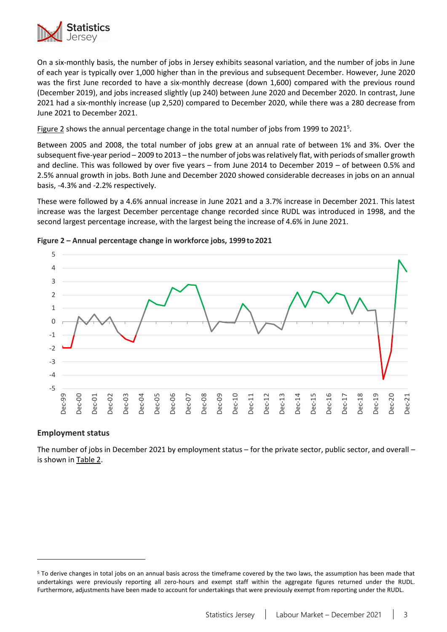

On a six-monthly basis, the number of jobs in Jersey exhibits seasonal variation, and the number of jobs in June of each year is typically over 1,000 higher than in the previous and subsequent December. However, June 2020 was the first June recorded to have a six-monthly decrease (down 1,600) compared with the previous round (December 2019), and jobs increased slightly (up 240) between June 2020 and December 2020. In contrast, June 2021 had a six-monthly increase (up 2,520) compared to December 2020, while there was a 280 decrease from June 2021 to December 2021.

[Figure 2](#page-2-0) shows the annual percentage change in the total number of jobs from 1999 to 2021<sup>5</sup>.

Between 2005 and 2008, the total number of jobs grew at an annual rate of between 1% and 3%. Over the subsequent five-year period – 2009 to 2013 – the number of jobs was relatively flat, with periods of smaller growth and decline. This was followed by over five years – from June 2014 to December 2019 – of between 0.5% and 2.5% annual growth in jobs. Both June and December 2020 showed considerable decreases in jobs on an annual basis, -4.3% and -2.2% respectively.

These were followed by a 4.6% annual increase in June 2021 and a 3.7% increase in December 2021. This latest increase was the largest December percentage change recorded since RUDL was introduced in 1998, and the second largest percentage increase, with the largest being the increase of 4.6% in June 2021.



#### <span id="page-2-0"></span>**Figure 2 – Annual percentage change in workforce jobs, 1999 to 2021**

#### **Employment status**

The number of jobs in December 2021 by employment status – for the private sector, public sector, and overall – is shown i[n Table 2.](#page-3-0)

<sup>5</sup> To derive changes in total jobs on an annual basis across the timeframe covered by the two laws, the assumption has been made that undertakings were previously reporting all zero-hours and exempt staff within the aggregate figures returned under the RUDL. Furthermore, adjustments have been made to account for undertakings that were previously exempt from reporting under the RUDL.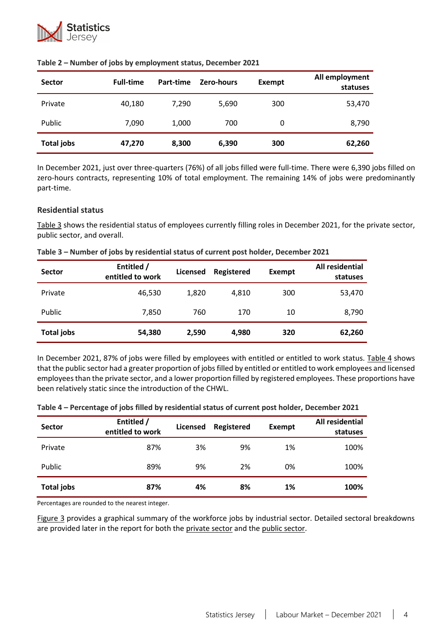

| <b>Sector</b>     | <b>Full-time</b> | Part-time | Zero-hours | Exempt | All employment<br>statuses |
|-------------------|------------------|-----------|------------|--------|----------------------------|
| Private           | 40,180           | 7,290     | 5,690      | 300    | 53,470                     |
| Public            | 7.090            | 1,000     | 700        | 0      | 8,790                      |
| <b>Total jobs</b> | 47,270           | 8,300     | 6,390      | 300    | 62,260                     |

#### <span id="page-3-0"></span>**Table 2 – Number of jobs by employment status, December 2021**

In December 2021, just over three-quarters (76%) of all jobs filled were full-time. There were 6,390 jobs filled on zero-hours contracts, representing 10% of total employment. The remaining 14% of jobs were predominantly part-time.

#### **Residential status**

[Table 3](#page-3-1) shows the residential status of employees currently filling roles in December 2021, for the private sector, public sector, and overall.

| <b>Sector</b>     | Entitled /<br>entitled to work | <b>Licensed</b> | <b>Registered</b> | <b>Exempt</b> | All residential<br>statuses |
|-------------------|--------------------------------|-----------------|-------------------|---------------|-----------------------------|
| Private           | 46,530                         | 1,820           | 4,810             | 300           | 53,470                      |
| Public            | 7,850                          | 760             | 170               | 10            | 8,790                       |
| <b>Total jobs</b> | 54,380                         | 2,590           | 4,980             | 320           | 62,260                      |

<span id="page-3-1"></span>**Table 3 – Number of jobs by residential status of current post holder, December 2021**

In December 2021, 87% of jobs were filled by employees with entitled or entitled to work status. [Table 4](#page-3-2) shows that the public sector had a greater proportion of jobs filled by entitled or entitled to work employees and licensed employees than the private sector, and a lower proportion filled by registered employees. These proportions have been relatively static since the introduction of the CHWL.

| <b>Sector</b>     | Entitled /<br>entitled to work | <b>Licensed</b> | Registered | Exempt | All residential<br>statuses |
|-------------------|--------------------------------|-----------------|------------|--------|-----------------------------|
| Private           | 87%                            | 3%              | 9%         | 1%     | 100%                        |
| Public            | 89%                            | 9%              | 2%         | 0%     | 100%                        |
| <b>Total jobs</b> | 87%                            | 4%              | 8%         | 1%     | 100%                        |

<span id="page-3-2"></span>**Table 4 – Percentage of jobs filled by residential status of current post holder, December 2021**

Percentages are rounded to the nearest integer.

[Figure 3](#page-4-0) provides a graphical summary of the workforce jobs by industrial sector. Detailed sectoral breakdowns are provided later in the report for both the [private sector](#page-9-0) and the [public sector.](#page-13-0)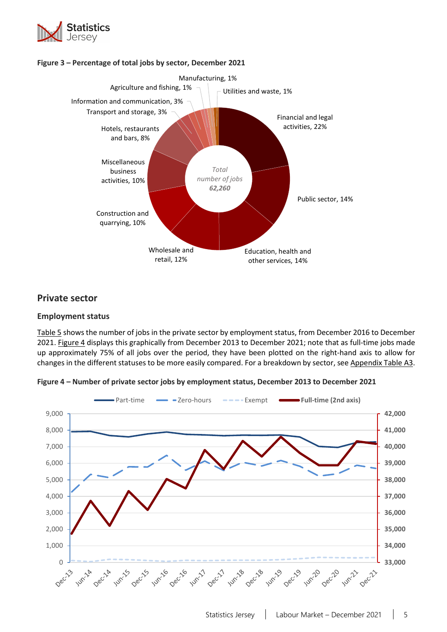

<span id="page-4-0"></span>



# **Private sector**

### **Employment status**

[Table 5](#page-5-0) shows the number of jobs in the private sector by employment status, from December 2016 to December 2021. [Figure](#page-4-1) 4 displays this graphically from December 2013 to December 2021; note that as full-time jobs made up approximately 75% of all jobs over the period, they have been plotted on the right-hand axis to allow for changes in the different statuses to be more easily compared. For a breakdown by sector, se[e Appendix Table](#page-22-0) A3.



<span id="page-4-1"></span>**Figure 4 – Number of private sector jobs by employment status, December 2013 to December 2021**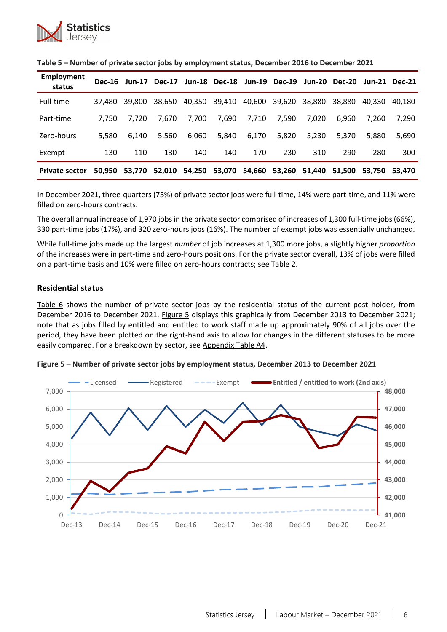

| <b>Employment</b><br>status | <b>Dec-16</b> | Jun-17 | <b>Dec-17</b> | <b>Jun-18</b> |               | Dec-18 Jun-19 Dec-19 |        |        | Jun-20 Dec-20 | Jun-21 | Dec-21 |
|-----------------------------|---------------|--------|---------------|---------------|---------------|----------------------|--------|--------|---------------|--------|--------|
| Full-time                   | 37.480        | 39.800 | 38,650        |               | 40,350 39,410 | 40,600               | 39,620 | 38,880 | 38.880        | 40.330 | 40.180 |
| Part-time                   | 7.750         | 7.720  | 7.670         | 7,700         | 7,690         | 7,710                | 7,590  | 7.020  | 6.960         | 7.260  | 7,290  |
| Zero-hours                  | 5.580         | 6.140  | 5.560         | 6,060         | 5,840         | 6,170                | 5,820  | 5.230  | 5.370         | 5.880  | 5,690  |
| Exempt                      | 130           | 110    | 130           | 140           | 140           | 170                  | 230    | 310    | 290           | 280    | 300    |
| <b>Private sector</b>       | 50,950        | 53.770 | 52,010        | 54,250        | 53,070        | 54,660               | 53,260 | 51.440 | 51.500        | 53.750 | 53.470 |

<span id="page-5-0"></span>

| Table 5 - Number of private sector jobs by employment status, December 2016 to December 2021 |  |
|----------------------------------------------------------------------------------------------|--|
|----------------------------------------------------------------------------------------------|--|

In December 2021, three-quarters (75%) of private sector jobs were full-time, 14% were part-time, and 11% were filled on zero-hours contracts.

The overall annual increase of 1,970 jobs in the private sector comprised of increases of 1,300 full-time jobs (66%), 330 part-time jobs (17%), and 320 zero-hours jobs (16%). The number of exempt jobs was essentially unchanged.

While full-time jobs made up the largest *number* of job increases at 1,300 more jobs, a slightly higher *proportion* of the increases were in part-time and zero-hours positions. For the private sector overall, 13% of jobs were filled on a part-time basis and 10% were filled on zero-hours contracts; see [Table](#page-3-0) 2.

#### **Residential status**

[Table 6](#page-6-0) shows the number of private sector jobs by the residential status of the current post holder, from December 2016 to December 2021. [Figure 5](#page-5-1) displays this graphically from December 2013 to December 2021; note that as jobs filled by entitled and entitled to work staff made up approximately 90% of all jobs over the period, they have been plotted on the right-hand axis to allow for changes in the different statuses to be more easily compared. For a breakdown by sector, see [Appendix Table A4.](#page-23-0)



<span id="page-5-1"></span>**Figure 5 – Number of private sector jobs by employment status, December 2013 to December 2021**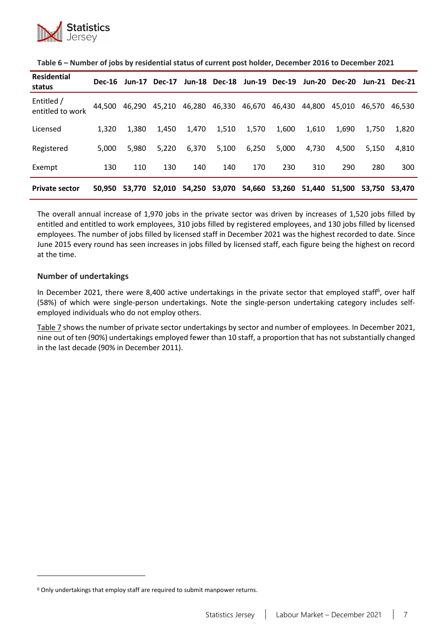

| <b>Residential</b><br>status   | <b>Dec-16</b> | Jun-17 | <b>Dec-17</b> | <b>Jun-18</b> | <b>Dec-18</b> | Jun-19 | <b>Dec-19</b> | <b>Jun-20</b> | <b>Dec-20</b> | Jun-21 | Dec-21 |
|--------------------------------|---------------|--------|---------------|---------------|---------------|--------|---------------|---------------|---------------|--------|--------|
| Entitled /<br>entitled to work | 44,500        | 46,290 | 45,210        | 46,280        | 46,330        | 46,670 | 46,430        | 44.800        | 45,010        | 46.570 | 46.530 |
| Licensed                       | 1.320         | 1,380  | 1,450         | 1,470         | 1,510         | 1,570  | 1,600         | 1,610         | 1.690         | 1.750  | 1,820  |
| Registered                     | 5,000         | 5.980  | 5.220         | 6,370         | 5,100         | 6,250  | 5,000         | 4,730         | 4,500         | 5.150  | 4,810  |
| Exempt                         | 130           | 110    | 130           | 140           | 140           | 170    | 230           | 310           | 290           | 280    | 300    |
| <b>Private sector</b>          | 50.950        | 53.770 | 52.010        | 54,250        | 53,070        | 54,660 | 53,260        | 51.440        | 51,500        | 53.750 | 53,470 |

<span id="page-6-0"></span>**Table 6 – Number of jobs by residential status of current post holder, December 2016 to December 2021**

The overall annual increase of 1,970 jobs in the private sector was driven by increases of 1,520 jobs filled by entitled and entitled to work employees, 310 jobs filled by registered employees, and 130 jobs filled by licensed employees. The number of jobs filled by licensed staff in December 2021 was the highest recorded to date. Since June 2015 every round has seen increases in jobs filled by licensed staff, each figure being the highest on record at the time.

#### **Number of undertakings**

In December 2021, there were 8,400 active undertakings in the private sector that employed staff<sup>6</sup>, over half (58%) of which were single-person undertakings. Note the single-person undertaking category includes selfemployed individuals who do not employ others.

[Table 7](#page-7-0) shows the number of private sector undertakings by sector and number of employees. In December 2021, nine out of ten (90%) undertakings employed fewer than 10 staff, a proportion that has not substantially changed in the last decade (90% in December 2011).

 $6$  Only undertakings that employ staff are required to submit manpower returns.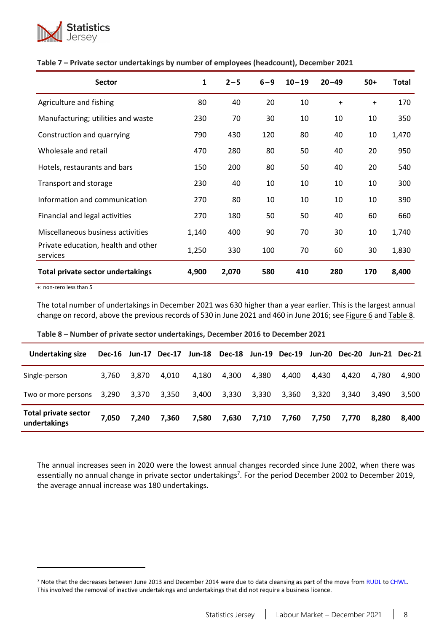

| <b>Sector</b>                                   | $\mathbf{1}$ | $2 - 5$ | $6 - 9$ | $10 - 19$ | $20 - 49$ | $50+$     | Total |
|-------------------------------------------------|--------------|---------|---------|-----------|-----------|-----------|-------|
| Agriculture and fishing                         | 80           | 40      | 20      | 10        | $\ddot{}$ | $\ddot{}$ | 170   |
| Manufacturing; utilities and waste              | 230          | 70      | 30      | 10        | 10        | 10        | 350   |
| Construction and quarrying                      | 790          | 430     | 120     | 80        | 40        | 10        | 1,470 |
| Wholesale and retail                            | 470          | 280     | 80      | 50        | 40        | 20        | 950   |
| Hotels, restaurants and bars                    | 150          | 200     | 80      | 50        | 40        | 20        | 540   |
| Transport and storage                           | 230          | 40      | 10      | 10        | 10        | 10        | 300   |
| Information and communication                   | 270          | 80      | 10      | 10        | 10        | 10        | 390   |
| Financial and legal activities                  | 270          | 180     | 50      | 50        | 40        | 60        | 660   |
| Miscellaneous business activities               | 1,140        | 400     | 90      | 70        | 30        | 10        | 1,740 |
| Private education, health and other<br>services | 1,250        | 330     | 100     | 70        | 60        | 30        | 1,830 |
| <b>Total private sector undertakings</b>        | 4,900        | 2,070   | 580     | 410       | 280       | 170       | 8,400 |

#### <span id="page-7-0"></span>**Table 7 – Private sector undertakings by number of employees (headcount), December 2021**

+: non-zero less than 5

<span id="page-7-1"></span>The total number of undertakings in December 2021 was 630 higher than a year earlier. This is the largest annual change on record, above the previous records of 530 in June 2021 and 460 in June 2016; see [Figure 6](#page-8-0) an[d Table](#page-7-1) 8.

| <b>Undertaking size</b>                     |       |       |       |       | Dec-16 Jun-17 Dec-17 Jun-18 Dec-18 Jun-19 Dec-19 Jun-20 Dec-20 Jun-21 Dec-21 |       |       |       |       |       |       |
|---------------------------------------------|-------|-------|-------|-------|------------------------------------------------------------------------------|-------|-------|-------|-------|-------|-------|
| Single-person                               | 3.760 | 3.870 | 4.010 | 4,180 | 4,300                                                                        | 4,380 | 4.400 | 4.430 | 4.420 | 4.780 | 4.900 |
| Two or more persons                         | 3.290 | 3,370 | 3,350 | 3,400 | 3,330                                                                        | 3,330 | 3,360 | 3,320 | 3.340 | 3.490 | 3,500 |
| <b>Total private sector</b><br>undertakings | 7,050 | 7.240 | 7.360 | 7.580 | 7,630                                                                        | 7,710 | 7,760 | 7.750 | 7.770 | 8.280 | 8.400 |

**Table 8 – Number of private sector undertakings, December 2016 to December 2021**

<span id="page-7-2"></span>The annual increases seen in 2020 were the lowest annual changes recorded since June 2002, when there was essentially no annual change in private sector undertakings<sup>7</sup>. For the period December 2002 to December 2019, the average annual increase was 180 undertakings.

<sup>&</sup>lt;sup>7</sup> Note that the decreases between June 2013 and December 2014 were due to data cleansing as part of the move from [RUDL](https://www.jerseylaw.je/laws/superseded/Pages/2006/05.750.30.aspx) to [CHWL.](https://www.jerseylaw.je/laws/revised/Pages/18.150.aspx) This involved the removal of inactive undertakings and undertakings that did not require a business licence.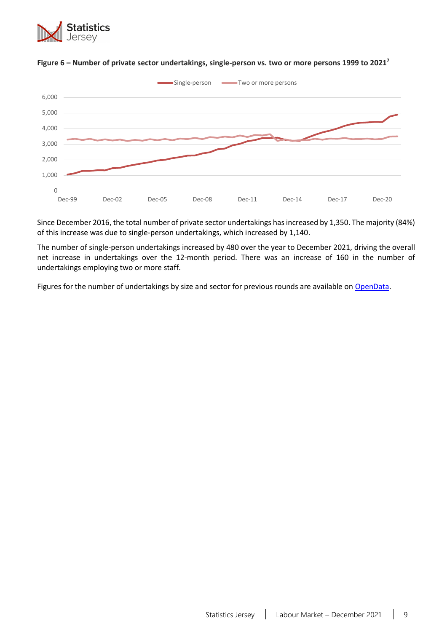



### <span id="page-8-0"></span>**Figure 6 – Number of private sector undertakings, single-person vs. two or more persons 1999 to 202[1](#page-7-2) 7**

Since December 2016, the total number of private sector undertakings has increased by 1,350. The majority (84%) of this increase was due to single-person undertakings, which increased by 1,140.

The number of single-person undertakings increased by 480 over the year to December 2021, driving the overall net increase in undertakings over the 12-month period. There was an increase of 160 in the number of undertakings employing two or more staff.

Figures for the number of undertakings by size and sector for previous rounds are available on [OpenData.](https://opendata.gov.je/dataset/companies-by-size-and-sector/resource/11f447a5-a2e7-4afb-a708-d0988ab2be78)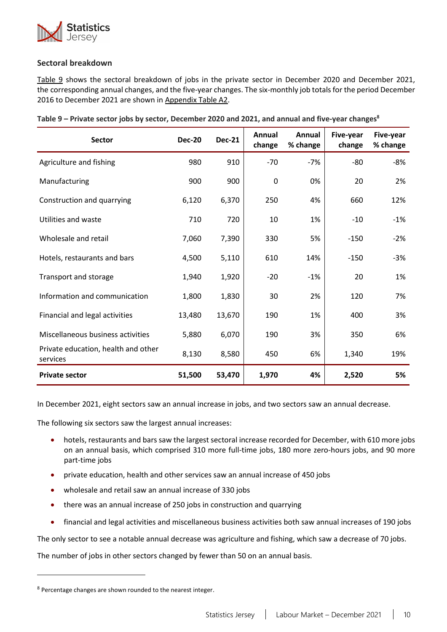

### <span id="page-9-0"></span>**Sectoral breakdown**

[Table 9](#page-9-1) shows the sectoral breakdown of jobs in the private sector in December 2020 and December 2021, the corresponding annual changes, and the five-year changes. The six-monthly job totals for the period December 2016 to December 2021 are shown i[n Appendix Table A2.](#page-21-0)

<span id="page-9-1"></span>

| <b>Sector</b>                                   | <b>Dec-20</b> | <b>Dec-21</b> | Annual<br>change | Annual<br>% change | Five-year<br>change | Five-year<br>% change |
|-------------------------------------------------|---------------|---------------|------------------|--------------------|---------------------|-----------------------|
| Agriculture and fishing                         | 980           | 910           | $-70$            | $-7%$              | $-80$               | $-8%$                 |
| Manufacturing                                   | 900           | 900           | 0                | 0%                 | 20                  | 2%                    |
| Construction and quarrying                      | 6,120         | 6,370         | 250              | 4%                 | 660                 | 12%                   |
| Utilities and waste                             | 710           | 720           | 10               | 1%                 | $-10$               | $-1%$                 |
| Wholesale and retail                            | 7,060         | 7,390         | 330              | 5%                 | $-150$              | $-2%$                 |
| Hotels, restaurants and bars                    | 4,500         | 5,110         | 610              | 14%                | $-150$              | $-3%$                 |
| Transport and storage                           | 1,940         | 1,920         | $-20$            | $-1%$              | 20                  | 1%                    |
| Information and communication                   | 1,800         | 1,830         | 30               | 2%                 | 120                 | 7%                    |
| Financial and legal activities                  | 13,480        | 13,670        | 190              | 1%                 | 400                 | 3%                    |
| Miscellaneous business activities               | 5,880         | 6,070         | 190              | 3%                 | 350                 | 6%                    |
| Private education, health and other<br>services | 8,130         | 8,580         | 450              | 6%                 | 1,340               | 19%                   |
| <b>Private sector</b>                           | 51,500        | 53,470        | 1,970            | 4%                 | 2,520               | 5%                    |

In December 2021, eight sectors saw an annual increase in jobs, and two sectors saw an annual decrease.

The following six sectors saw the largest annual increases:

- hotels, restaurants and bars saw the largest sectoral increase recorded for December, with 610 more jobs on an annual basis, which comprised 310 more full-time jobs, 180 more zero-hours jobs, and 90 more part-time jobs
- private education, health and other services saw an annual increase of 450 jobs
- wholesale and retail saw an annual increase of 330 jobs
- there was an annual increase of 250 jobs in construction and quarrying
- financial and legal activities and miscellaneous business activities both saw annual increases of 190 jobs

The only sector to see a notable annual decrease was agriculture and fishing, which saw a decrease of 70 jobs.

The number of jobs in other sectors changed by fewer than 50 on an annual basis.

 $8$  Percentage changes are shown rounded to the nearest integer.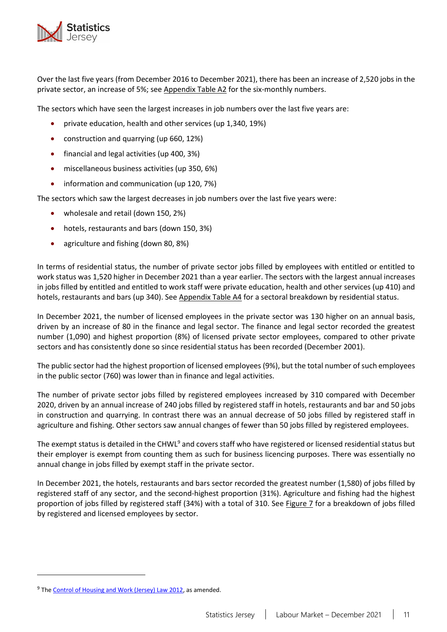

Over the last five years (from December 2016 to December 2021), there has been an increase of 2,520 jobs in the private sector, an increase of 5%; see [Appendix Table A2](#page-21-0) for the six-monthly numbers.

The sectors which have seen the largest increases in job numbers over the last five years are:

- private education, health and other services (up 1,340, 19%)
- construction and quarrying (up 660, 12%)
- financial and legal activities (up 400, 3%)
- miscellaneous business activities (up 350, 6%)
- information and communication (up 120, 7%)

The sectors which saw the largest decreases in job numbers over the last five years were:

- wholesale and retail (down 150, 2%)
- hotels, restaurants and bars (down 150, 3%)
- agriculture and fishing (down 80, 8%)

In terms of residential status, the number of private sector jobs filled by employees with entitled or entitled to work status was 1,520 higher in December 2021 than a year earlier. The sectors with the largest annual increases in jobs filled by entitled and entitled to work staff were private education, health and other services (up 410) and hotels, restaurants and bars (up 340). See [Appendix Table A4](#page-23-0) for a sectoral breakdown by residential status.

In December 2021, the number of licensed employees in the private sector was 130 higher on an annual basis, driven by an increase of 80 in the finance and legal sector. The finance and legal sector recorded the greatest number (1,090) and highest proportion (8%) of licensed private sector employees, compared to other private sectors and has consistently done so since residential status has been recorded (December 2001).

The public sector had the highest proportion of licensed employees (9%), but the total number of such employees in the public sector (760) was lower than in finance and legal activities.

The number of private sector jobs filled by registered employees increased by 310 compared with December 2020, driven by an annual increase of 240 jobs filled by registered staff in hotels, restaurants and bar and 50 jobs in construction and quarrying. In contrast there was an annual decrease of 50 jobs filled by registered staff in agriculture and fishing. Other sectors saw annual changes of fewer than 50 jobs filled by registered employees.

The exempt status is detailed in the CHWL<sup>9</sup> and covers staff who have registered or licensed residential status but their employer is exempt from counting them as such for business licencing purposes. There was essentially no annual change in jobs filled by exempt staff in the private sector.

In December 2021, the hotels, restaurants and bars sector recorded the greatest number (1,580) of jobs filled by registered staff of any sector, and the second-highest proportion (31%). Agriculture and fishing had the highest proportion of jobs filled by registered staff (34%) with a total of 310. Se[e Figure 7](#page-11-0) for a breakdown of jobs filled by registered and licensed employees by sector.

<sup>&</sup>lt;sup>9</sup> The [Control of Housing and Work \(Jersey\) Law 2012,](https://www.jerseylaw.je/laws/revised/Pages/18.150.aspx) as amended.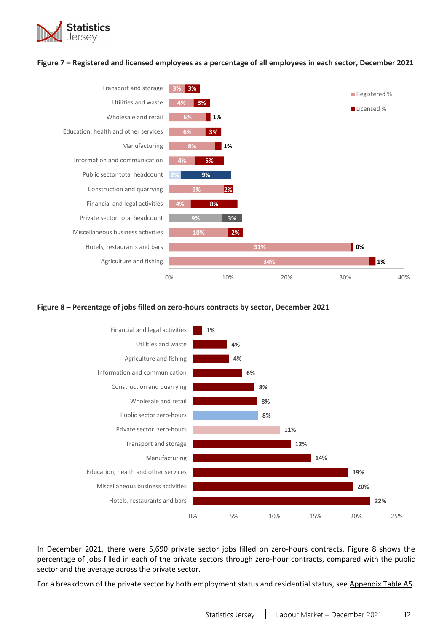

#### <span id="page-11-0"></span>**Figure 7 – Registered and licensed employees as a percentage of all employees in each sector, December 2021**



#### <span id="page-11-1"></span>**Figure 8 – Percentage of jobs filled on zero-hours contracts by sector, December 2021**



In December 2021, there were 5,690 private sector jobs filled on zero-hours contracts. [Figure 8](#page-11-1) shows the percentage of jobs filled in each of the private sectors through zero-hour contracts, compared with the public sector and the average across the private sector.

For a breakdown of the private sector by both employment status and residential status, se[e Appendix Table](#page-24-0) A5.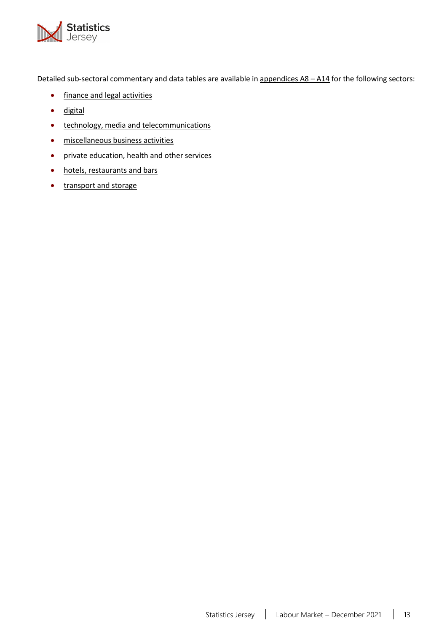

Detailed sub-sectoral commentary and data tables are available i[n appendices A8](#page-28-0) - A14 for the following sectors:

- [finance and legal activities](#page-28-0)
- [digital](#page-30-0)
- [technology, media and telecommunications](#page-31-0)
- [miscellaneous business activities](#page-33-0)
- [private education, health and other services](#page-35-0)
- [hotels, restaurants and bars](#page-37-0)
- [transport and storage](#page-39-0)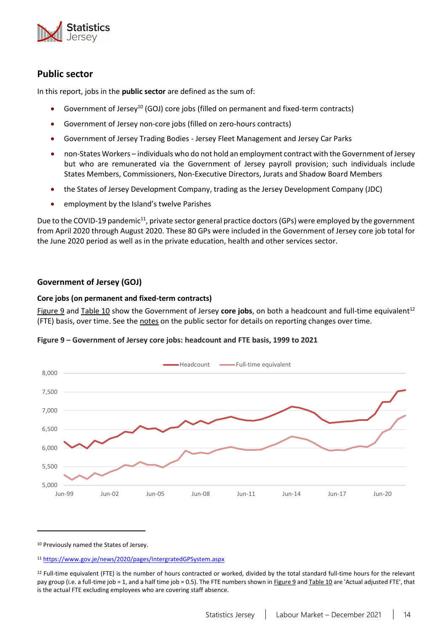

# <span id="page-13-0"></span>**Public sector**

In this report, jobs in the **public sector** are defined as the sum of:

- Government of Jersey<sup>10</sup> (GOJ) core jobs (filled on permanent and fixed-term contracts)
- Government of Jersey non-core jobs (filled on zero-hours contracts)
- Government of Jersey Trading Bodies Jersey Fleet Management and Jersey Car Parks
- non-States Workers individuals who do not hold an employment contract with the Government of Jersey but who are remunerated via the Government of Jersey payroll provision; such individuals include States Members, Commissioners, Non-Executive Directors, Jurats and Shadow Board Members
- the States of Jersey Development Company, trading as the Jersey Development Company (JDC)
- employment by the Island's twelve Parishes

Due to the COVID-19 pandemic<sup>11</sup>, private sector general practice doctors (GPs) were employed by the government from April 2020 through August 2020. These 80 GPs were included in the Government of Jersey core job total for the June 2020 period as well as in the private education, health and other services sector.

### **Government of Jersey (GOJ)**

### **Core jobs (on permanent and fixed-term contracts[\)](#page-13-1)**

<span id="page-13-2"></span>[Figure](#page-13-1) 9 and [Table 10](#page-13-1) show the Government of Jersey **core jobs**, on both a headcount and full-time equivalent<sup>12</sup> (FTE) basis, over time. See the [notes](#page-18-1) on the public sector for details on reporting changes over time.

<span id="page-13-1"></span>



<sup>10</sup> Previously named the States of Jersey.

<sup>11</sup> <https://www.gov.je/news/2020/pages/IntergratedGPSystem.aspx>

<sup>&</sup>lt;sup>12</sup> Full-time equivalent (FTE) is the number of hours contracted or worked, divided by the total standard full-time hours for the relevant pay group (i.e. a full-time job = 1, and a half time job = 0.5). The FTE numbers shown in [Figure 9](#page-13-1) an[d Table 10](#page-13-1) are 'Actual adjusted FTE', that is the actual FTE excluding employees who are covering staff absence.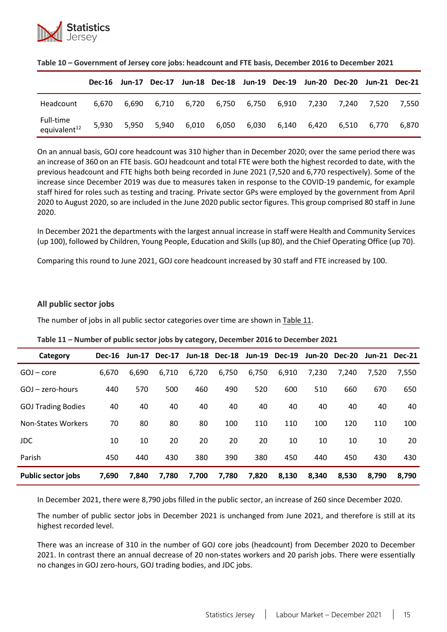

|                                       |       |       | Dec-16 Jun-17 Dec-17 Jun-18 Dec-18 Jun-19 Dec-19 Jun-20 Dec-20 Jun-21 Dec-21 |       |       |       |                                           |             |             |             |
|---------------------------------------|-------|-------|------------------------------------------------------------------------------|-------|-------|-------|-------------------------------------------|-------------|-------------|-------------|
| Headcount                             | 6.670 | 6.690 |                                                                              |       |       |       | 6,710 6,720 6,750 6,750 6,910 7,230 7,240 |             |             | 7,520 7,550 |
| Full-time<br>equivalent <sup>12</sup> | 5,930 | 5.950 | 5.940                                                                        | 6,010 | 6,050 | 6,030 |                                           | 6,140 6,420 | 6.510 6.770 | 6.870       |

|  | Table 10 - Government of Jersey core jobs: headcount and FTE basis, December 2016 to December 2021 |  |
|--|----------------------------------------------------------------------------------------------------|--|
|--|----------------------------------------------------------------------------------------------------|--|

On an annual basis, GOJ core headcount was 310 higher than in December 2020; over the same period there was an increase of 360 on an FTE basis. GOJ headcount and total FTE were both the highest recorded to date, with the previous headcount and FTE highs both being recorded in June 2021 (7,520 and 6,770 respectively). Some of the increase since December 2019 was due to measures taken in response to the COVID-19 pandemic, for example staff hired for roles such as testing and tracing. Private sector GPs were employed by the government from April 2020 to August 2020, so are included in the June 2020 public sector figures. This group comprised 80 staff in June 2020.

In December 2021 the departments with the largest annual increase in staff were Health and Community Services (up 100), followed by Children, Young People, Education and Skills (up 80), and the Chief Operating Office (up 70).

Comparing this round to June 2021, GOJ core headcount increased by 30 staff and FTE increased by 100.

#### **All public sector jobs**

The number of jobs in all public sector categories over time are shown in [Table 11](#page-14-0).

| Category                  | <b>Dec-16</b> | <b>Jun-17</b> | <b>Dec-17</b> | <b>Jun-18</b> | <b>Dec-18</b> |       | Jun-19 Dec-19 | <b>Jun-20</b> | <b>Dec-20</b> |       | Jun-21 Dec-21 |
|---------------------------|---------------|---------------|---------------|---------------|---------------|-------|---------------|---------------|---------------|-------|---------------|
| $GOJ$ – core              | 6,670         | 6,690         | 6,710         | 6,720         | 6,750         | 6,750 | 6,910         | 7,230         | 7,240         | 7.520 | 7,550         |
| $GOJ$ – zero-hours        | 440           | 570           | 500           | 460           | 490           | 520   | 600           | 510           | 660           | 670   | 650           |
| <b>GOJ Trading Bodies</b> | 40            | 40            | 40            | 40            | 40            | 40    | 40            | 40            | 40            | 40    | 40            |
| <b>Non-States Workers</b> | 70            | 80            | 80            | 80            | 100           | 110   | 110           | 100           | 120           | 110   | 100           |
| JDC                       | 10            | 10            | 20            | 20            | 20            | 20    | 10            | 10            | 10            | 10    | 20            |
| Parish                    | 450           | 440           | 430           | 380           | 390           | 380   | 450           | 440           | 450           | 430   | 430           |
| <b>Public sector jobs</b> | 7,690         | 7.840         | 7,780         | 7,700         | 7,780         | 7,820 | 8,130         | 8.340         | 8,530         | 8.790 | 8.790         |

<span id="page-14-0"></span>**Table 11 – Number of public sector jobs by category, December 2016 to December 2021**

In December 2021, there were 8,790 jobs filled in the public sector, an increase of 260 since December 2020.

The number of public sector jobs in December 2021 is unchanged from June 2021, and therefore is still at its highest recorded level.

There was an increase of 310 in the number of GOJ core jobs (headcount) from December 2020 to December 2021. In contrast there an annual decrease of 20 non-states workers and 20 parish jobs. There were essentially no changes in GOJ zero-hours, GOJ trading bodies, and JDC jobs.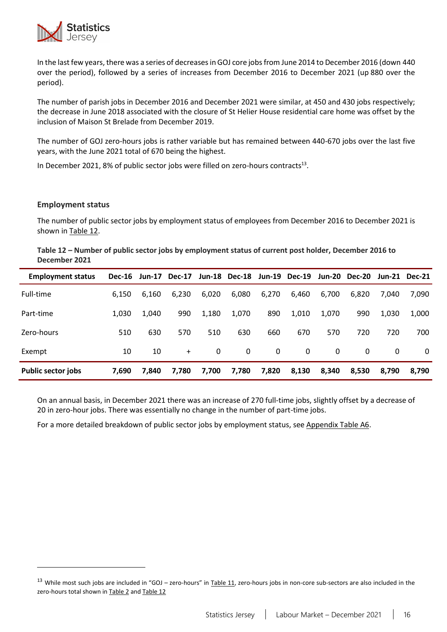

In the last few years, there was a series of decreases in GOJ core jobs from June 2014 to December 2016 (down 440 over the period), followed by a series of increases from December 2016 to December 2021 (up 880 over the period).

The number of parish jobs in December 2016 and December 2021 were similar, at 450 and 430 jobs respectively; the decrease in June 2018 associated with the closure of St Helier House residential care home was offset by the inclusion of Maison St Brelade from December 2019.

The number of GOJ zero-hours jobs is rather variable but has remained between 440-670 jobs over the last five years, with the June 2021 total of 670 being the highest.

In December 2021, 8% of public sector jobs were filled on zero-hours contracts $^{13}$ .

#### **Employment status**

The number of public sector jobs by employment status of employees from December 2016 to December 2021 is shown i[n Table 12.](#page-15-0)

<span id="page-15-0"></span>

| Table 12 – Number of public sector jobs by employment status of current post holder, December 2016 to |  |
|-------------------------------------------------------------------------------------------------------|--|
| December 2021                                                                                         |  |

| <b>Employment status</b> | <b>Dec-16</b> | <b>Jun-17</b> | <b>Dec-17</b> |       | <b>Jun-18 Dec-18</b> | Jun-19   | <b>Dec-19</b> | Jun-20   | <b>Dec-20</b> |       | <b>Jun-21 Dec-21</b> |
|--------------------------|---------------|---------------|---------------|-------|----------------------|----------|---------------|----------|---------------|-------|----------------------|
| Full-time                | 6.150         | 6.160         | 6,230         | 6,020 | 6,080                | 6,270    | 6,460         | 6,700    | 6.820         | 7.040 | 7.090                |
| Part-time                | 1,030         | 1.040         | 990           | 1,180 | 1,070                | 890      | 1,010         | 1.070    | 990           | 1,030 | 1,000                |
| Zero-hours               | 510           | 630           | 570           | 510   | 630                  | 660      | 670           | 570      | 720           | 720   | 700                  |
| Exempt                   | 10            | 10            | $+$           | 0     | $\Omega$             | $\Omega$ | 0             | $\Omega$ | 0             | 0     | $\Omega$             |
| Public sector jobs       | 7,690         | 7.840         | 7,780         | 7,700 | 7,780                | 7,820    | 8,130         | 8,340    | 8,530         | 8,790 | 8,790                |

On an annual basis, in December 2021 there was an increase of 270 full-time jobs, slightly offset by a decrease of 20 in zero-hour jobs. There was essentially no change in the number of part-time jobs.

For a more detailed breakdown of public sector jobs by employment status, see [Appendix Table A6.](#page-26-0)

 $13$  While most such jobs are included in "GOJ – zero-hours" in [Table 11,](#page-14-0) zero-hours jobs in non-core sub-sectors are also included in the zero-hours total shown i[n Table 2](#page-3-0) and [Table 12](#page-15-0)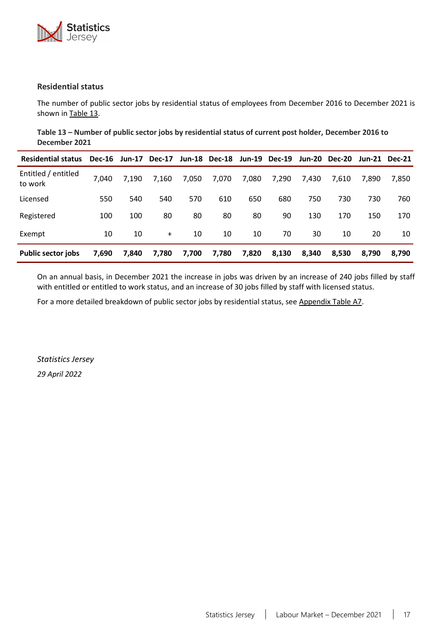

#### **Residential status**

<span id="page-16-0"></span>The number of public sector jobs by residential status of employees from December 2016 to December 2021 is shown i[n Table 13](#page-16-0).

**Table 13 – Number of public sector jobs by residential status of current post holder, December 2016 to December 2021**

| <b>Residential status</b>      | <b>Dec-16</b> |       | Jun-17 Dec-17 |       | Jun-18 Dec-18 |       | Jun-19 Dec-19 | Jun-20 | <b>Dec-20</b> |       | Jun-21 Dec-21 |
|--------------------------------|---------------|-------|---------------|-------|---------------|-------|---------------|--------|---------------|-------|---------------|
| Entitled / entitled<br>to work | 7.040         | 7.190 | 7,160         | 7,050 | 7,070         | 7,080 | 7.290         | 7.430  | 7,610         | 7.890 | 7,850         |
| Licensed                       | 550           | 540   | 540           | 570   | 610           | 650   | 680           | 750    | 730           | 730   | 760           |
| Registered                     | 100           | 100   | 80            | 80    | 80            | 80    | 90            | 130    | 170           | 150   | 170           |
| Exempt                         | 10            | 10    | $+$           | 10    | 10            | 10    | 70            | 30     | 10            | 20    | 10            |
| <b>Public sector jobs</b>      | 7,690         | 7,840 | 7,780         | 7,700 | 7,780         | 7,820 | 8,130         | 8,340  | 8,530         | 8.790 | 8.790         |

On an annual basis, in December 2021 the increase in jobs was driven by an increase of 240 jobs filled by staff with entitled or entitled to work status, and an increase of 30 jobs filled by staff with licensed status.

For a more detailed breakdown of public sector jobs by residential status, see [Appendix Table](#page-26-1) A7.

*Statistics Jersey*

*29 April 2022*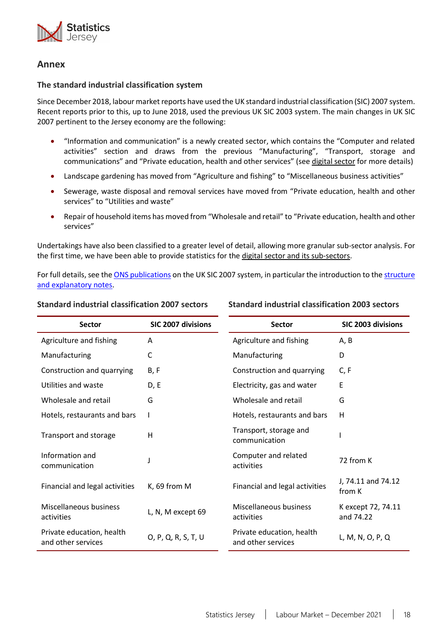<span id="page-17-1"></span>

# **Annex**

#### <span id="page-17-0"></span>**The standard industrial classification system**

Since December 2018, labour market reports have used the UK standard industrial classification (SIC) 2007 system. Recent reports prior to this, up to June 2018, used the previous UK SIC 2003 system. The main changes in UK SIC 2007 pertinent to the Jersey economy are the following:

- "Information and communication" is a newly created sector, which contains the "Computer and related activities" section and draws from the previous "Manufacturing", "Transport, storage and communications" and "Private education, health and other services" (see [digital sector](#page-30-0) for more details)
- Landscape gardening has moved from "Agriculture and fishing" to "Miscellaneous business activities"
- Sewerage, waste disposal and removal services have moved from "Private education, health and other services" to "Utilities and waste"
- Repair of household items has moved from "Wholesale and retail" to "Private education, health and other services"

Undertakings have also been classified to a greater level of detail, allowing more granular sub-sector analysis. For the first time, we have been able to provide statistics for the [digital sector and its sub-sectors.](#page-30-0)

For full details, see the [ONS publications](https://www.ons.gov.uk/methodology/classificationsandstandards/ukstandardindustrialclassificationofeconomicactivities/uksic2007) on the UK SIC 2007 system, in particular the introduction to the [structure](https://www.ons.gov.uk/file?uri=/methodology/classificationsandstandards/ukstandardindustrialclassificationofeconomicactivities/uksic2007/uksic2007web.pdf)  [and explanatory notes.](https://www.ons.gov.uk/file?uri=/methodology/classificationsandstandards/ukstandardindustrialclassificationofeconomicactivities/uksic2007/uksic2007web.pdf)

#### **Standard industrial classification 2007 sectors**

**Standard industrial classification 2003 sectors**

| <b>Sector</b>                                   | <b>SIC 2007 divisions</b> | <b>Sector</b>                                   | SIC 2003 divisions              |  |  |
|-------------------------------------------------|---------------------------|-------------------------------------------------|---------------------------------|--|--|
| Agriculture and fishing                         | A                         | Agriculture and fishing                         | A, B                            |  |  |
| Manufacturing                                   | C                         | Manufacturing                                   | D                               |  |  |
| Construction and quarrying                      | B, F                      | Construction and quarrying                      | C, F                            |  |  |
| Utilities and waste                             | D, E                      | Electricity, gas and water                      | Ε                               |  |  |
| Wholesale and retail                            | G                         | Wholesale and retail                            | G                               |  |  |
| Hotels, restaurants and bars                    |                           | Hotels, restaurants and bars                    | H                               |  |  |
| Transport and storage                           | н                         | Transport, storage and<br>communication         |                                 |  |  |
| Information and<br>communication                | J                         | Computer and related<br>activities              | 72 from K                       |  |  |
| Financial and legal activities                  | K, 69 from M              | Financial and legal activities                  | J, 74.11 and 74.12<br>from K    |  |  |
| Miscellaneous business<br>activities            | L, N, M except 69         | Miscellaneous business<br>activities            | K except 72, 74.11<br>and 74.22 |  |  |
| Private education, health<br>and other services | O, P, Q, R, S, T, U       | Private education, health<br>and other services | L, M, N, O, P, Q                |  |  |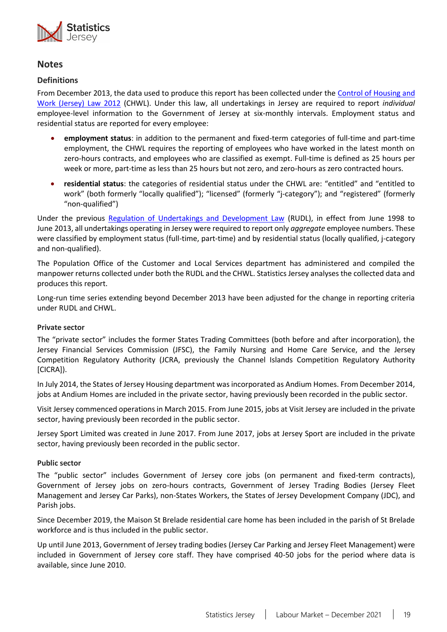

# <span id="page-18-0"></span>**Notes**

### **Definitions**

From December 2013, the data used to produce this report has been collected under the [Control of Housing and](https://www.jerseylaw.je/laws/revised/Pages/18.150.aspx)  [Work \(Jersey\) Law 2012](https://www.jerseylaw.je/laws/revised/Pages/18.150.aspx) (CHWL). Under this law, all undertakings in Jersey are required to report *individual* employee-level information to the Government of Jersey at six-monthly intervals. Employment status and residential status are reported for every employee:

- **employment status**: in addition to the permanent and fixed-term categories of full-time and part-time employment, the CHWL requires the reporting of employees who have worked in the latest month on zero-hours contracts, and employees who are classified as exempt. Full-time is defined as 25 hours per week or more, part-time as less than 25 hours but not zero, and zero-hours as zero contracted hours.
- **residential status**: the categories of residential status under the CHWL are: "entitled" and "entitled to work" (both formerly "locally qualified"); "licensed" (formerly "j-category"); and "registered" (formerly "non-qualified")

Under the previous [Regulation of Undertakings](https://www.jerseylaw.je/laws/superseded/Pages/2006/05.750.30.aspx) and Development Law (RUDL), in effect from June 1998 to June 2013, all undertakings operating in Jersey were required to report only *aggregate* employee numbers. These were classified by employment status (full-time, part-time) and by residential status (locally qualified, j-category and non-qualified).

The Population Office of the Customer and Local Services department has administered and compiled the manpower returns collected under both the RUDL and the CHWL. Statistics Jersey analyses the collected data and produces this report.

Long-run time series extending beyond December 2013 have been adjusted for the change in reporting criteria under RUDL and CHWL.

#### **Private sector**

The "private sector" includes the former States Trading Committees (both before and after incorporation), the Jersey Financial Services Commission (JFSC), the Family Nursing and Home Care Service, and the Jersey Competition Regulatory Authority (JCRA, previously the Channel Islands Competition Regulatory Authority [CICRA]).

In July 2014, the States of Jersey Housing department was incorporated as Andium Homes. From December 2014, jobs at Andium Homes are included in the private sector, having previously been recorded in the public sector.

Visit Jersey commenced operations in March 2015. From June 2015, jobs at Visit Jersey are included in the private sector, having previously been recorded in the public sector.

Jersey Sport Limited was created in June 2017. From June 2017, jobs at Jersey Sport are included in the private sector, having previously been recorded in the public sector.

#### <span id="page-18-1"></span>**Public sector**

The "public sector" includes Government of Jersey core jobs (on permanent and fixed-term contracts), Government of Jersey jobs on zero-hours contracts, Government of Jersey Trading Bodies (Jersey Fleet Management and Jersey Car Parks), non-States Workers, the States of Jersey Development Company (JDC), and Parish jobs.

Since December 2019, the Maison St Brelade residential care home has been included in the parish of St Brelade workforce and is thus included in the public sector.

Up until June 2013, Government of Jersey trading bodies (Jersey Car Parking and Jersey Fleet Management) were included in Government of Jersey core staff. They have comprised 40-50 jobs for the period where data is available, since June 2010.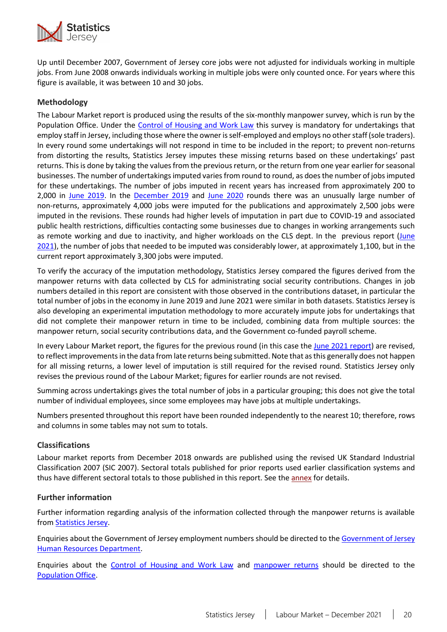

Up until December 2007, Government of Jersey core jobs were not adjusted for individuals working in multiple jobs. From June 2008 onwards individuals working in multiple jobs were only counted once. For years where this figure is available, it was between 10 and 30 jobs.

### **Methodology**

The Labour Market report is produced using the results of the six-monthly manpower survey, which is run by the Population Office. Under the [Control of Housing and Work Law](https://www.jerseylaw.je/laws/revised/Pages/18.150.aspx) this survey is mandatory for undertakings that employ staff in Jersey, including those where the owner is self-employed and employs no other staff (sole traders). In every round some undertakings will not respond in time to be included in the report; to prevent non-returns from distorting the results, Statistics Jersey imputes these missing returns based on these undertakings' past returns. This is done by taking the values from the previous return, or the return from one year earlier for seasonal businesses. The number of undertakings imputed varies from round to round, as does the number of jobs imputed for these undertakings. The number of jobs imputed in recent years has increased from approximately 200 to 2,000 in [June 2019.](https://www.gov.je/SiteCollectionDocuments/Government%20and%20administration/R%20Jersey%20Labour%20Market%20Jun%2019%2020191011%20SJ.pdf) In the [December 2019](https://www.gov.je/SiteCollectionDocuments/Government%20and%20administration/R%20Jersey%20Labour%20Market%20Dec%2019%2020200528%20SJ.pdf) and [June 2020](https://www.gov.je/SiteCollectionDocuments/Government%20and%20administration/R%20Jersey%20Labour%20Market%20Jun%2020%2020201105%20SJ.pdf) rounds there was an unusually large number of non-returns, approximately 4,000 jobs were imputed for the publications and approximately 2,500 jobs were imputed in the revisions. These rounds had higher levels of imputation in part due to COVID-19 and associated public health restrictions, difficulties contacting some businesses due to changes in working arrangements such as remote working and due to inactivity, and higher workloads on the CLS dept. In the previous report [\(June](https://www.gov.je/SiteCollectionDocuments/Government%20and%20administration/R%20Jersey%20Labour%20Market%20Jun%2021%2020211028%20SJ.pdf) [2021](https://www.gov.je/SiteCollectionDocuments/Government%20and%20administration/R%20Jersey%20Labour%20Market%20Jun%2021%2020211028%20SJ.pdf)), the number of jobs that needed to be imputed was considerably lower, at approximately 1,100, but in the current report approximately 3,300 jobs were imputed.

To verify the accuracy of the imputation methodology, Statistics Jersey compared the figures derived from the manpower returns with data collected by CLS for administrating social security contributions. Changes in job numbers detailed in this report are consistent with those observed in the contributions dataset, in particular the total number of jobs in the economy in June 2019 and June 2021 were similar in both datasets. Statistics Jersey is also developing an experimental imputation methodology to more accurately impute jobs for undertakings that did not complete their manpower return in time to be included, combining data from multiple sources: the manpower return, social security contributions data, and the Government co-funded payroll scheme.

In every Labour Market report, the figures for the previous round (in this case the [June 2021](https://www.gov.je/SiteCollectionDocuments/Government%20and%20administration/R%20Jersey%20Labour%20Market%20Jun%2021%2020211028%20SJ.pdf) report) are revised, to reflect improvements in the data from late returns being submitted. Note that as this generally does not happen for all missing returns, a lower level of imputation is still required for the revised round. Statistics Jersey only revises the previous round of the Labour Market; figures for earlier rounds are not revised.

Summing across undertakings gives the total number of jobs in a particular grouping; this does not give the total number of individual employees, since some employees may have jobs at multiple undertakings.

Numbers presented throughout this report have been rounded independently to the nearest 10; therefore, rows and columns in some tables may not sum to totals.

### **Classifications**

Labour market reports from December 2018 onwards are published using the revised UK Standard Industrial Classification 2007 (SIC 2007). Sectoral totals published for prior reports used earlier classification systems and thus have different sectoral totals to those published in this report. See the [annex](#page-1-1) for details.

#### **Further information**

Further information regarding analysis of the information collected through the manpower returns is available from [Statistics Jersey.](mailto:statistics@gov.je)

Enquiries about the Government of Jersey employment numbers should be directed to the [Government of Jersey](mailto:peoplehub@gov.je)  Human [Resources Department.](mailto:peoplehub@gov.je)

Enquiries about the [Control of Housing and Work Law](https://www.jerseylaw.je/laws/revised/Pages/18.150.aspx) and [manpower returns](https://www.gov.je/working/contributions/registrationcards/pages/manpowerreturns.aspx) should be directed to the [Population](mailto:populationoffice@gov.je) Office.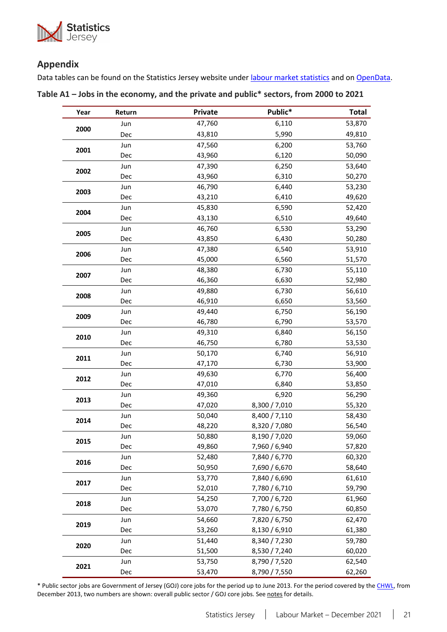

# **Appendix**

Data tables can be found on the Statistics Jersey website under *labour market statistics* and o[n OpenData.](https://opendata.gov.je/dataset/labour-market-manpower)

<span id="page-20-0"></span>

| Table A1 – Jobs in the economy, and the private and public* sectors, from 2000 to 2021 |  |  |
|----------------------------------------------------------------------------------------|--|--|
|----------------------------------------------------------------------------------------|--|--|

| Year | Return | Private | Public*       | <b>Total</b> |
|------|--------|---------|---------------|--------------|
|      | Jun    | 47,760  | 6,110         | 53,870       |
| 2000 | Dec    | 43,810  | 5,990         | 49,810       |
| 2001 | Jun    | 47,560  | 6,200         | 53,760       |
|      | Dec    | 43,960  | 6,120         | 50,090       |
| 2002 | Jun    | 47,390  | 6,250         | 53,640       |
|      | Dec    | 43,960  | 6,310         | 50,270       |
| 2003 | Jun    | 46,790  | 6,440         | 53,230       |
|      | Dec    | 43,210  | 6,410         | 49,620       |
| 2004 | Jun    | 45,830  | 6,590         | 52,420       |
|      | Dec    | 43,130  | 6,510         | 49,640       |
| 2005 | Jun    | 46,760  | 6,530         | 53,290       |
|      | Dec    | 43,850  | 6,430         | 50,280       |
| 2006 | Jun    | 47,380  | 6,540         | 53,910       |
|      | Dec    | 45,000  | 6,560         | 51,570       |
| 2007 | Jun    | 48,380  | 6,730         | 55,110       |
|      | Dec    | 46,360  | 6,630         | 52,980       |
| 2008 | Jun    | 49,880  | 6,730         | 56,610       |
|      | Dec    | 46,910  | 6,650         | 53,560       |
| 2009 | Jun    | 49,440  | 6,750         | 56,190       |
|      | Dec    | 46,780  | 6,790         | 53,570       |
| 2010 | Jun    | 49,310  | 6,840         | 56,150       |
|      | Dec    | 46,750  | 6,780         | 53,530       |
| 2011 | Jun    | 50,170  | 6,740         | 56,910       |
|      | Dec    | 47,170  | 6,730         | 53,900       |
| 2012 | Jun    | 49,630  | 6,770         | 56,400       |
|      | Dec    | 47,010  | 6,840         | 53,850       |
| 2013 | Jun    | 49,360  | 6,920         | 56,290       |
|      | Dec    | 47,020  | 8,300 / 7,010 | 55,320       |
| 2014 | Jun    | 50,040  | 8,400 / 7,110 | 58,430       |
|      | Dec    | 48,220  | 8,320 / 7,080 | 56,540       |
| 2015 | Jun    | 50,880  | 8,190 / 7,020 | 59,060       |
|      | Dec    | 49,860  | 7,960 / 6,940 | 57,820       |
| 2016 | Jun    | 52,480  | 7,840 / 6,770 | 60,320       |
|      | Dec    | 50,950  | 7,690 / 6,670 | 58,640       |
| 2017 | Jun    | 53,770  | 7,840 / 6,690 | 61,610       |
|      | Dec    | 52,010  | 7,780 / 6,710 | 59,790       |
| 2018 | Jun    | 54,250  | 7,700 / 6,720 | 61,960       |
|      | Dec    | 53,070  | 7,780 / 6,750 | 60,850       |
| 2019 | Jun    | 54,660  | 7,820 / 6,750 | 62,470       |
|      | Dec    | 53,260  | 8,130 / 6,910 | 61,380       |
| 2020 | Jun    | 51,440  | 8,340 / 7,230 | 59,780       |
|      | Dec    | 51,500  | 8,530 / 7,240 | 60,020       |
| 2021 | Jun    | 53,750  | 8,790 / 7,520 | 62,540       |
|      | Dec    | 53,470  | 8,790 / 7,550 | 62,260       |

\* Public sector jobs are Government of Jersey (GOJ) core jobs for the period up to June 2013. For the period covered by th[e CHWL,](https://www.jerseylaw.je/laws/revised/Pages/18.150.aspx) from December 2013, two numbers are shown: overall public sector / GOJ core jobs. See [notes](#page-18-1) for details.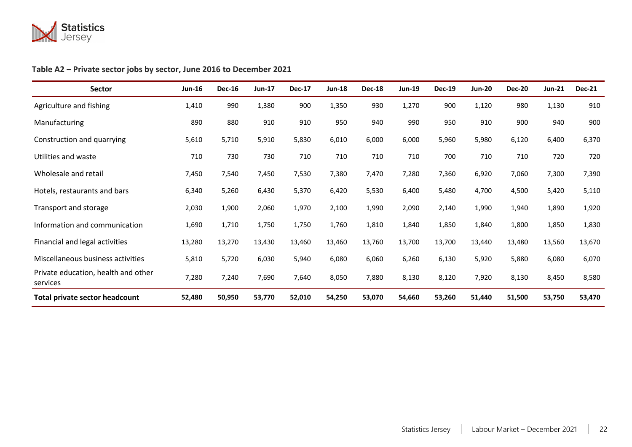

# **Table A2 – Private sector jobs by sector, June 2016 to December 2021**

<span id="page-21-0"></span>

| Sector                                          | <b>Jun-16</b> | <b>Dec-16</b> | <b>Jun-17</b> | <b>Dec-17</b> | <b>Jun-18</b> | <b>Dec-18</b> | <b>Jun-19</b> | <b>Dec-19</b> | <b>Jun-20</b> | <b>Dec-20</b> | <b>Jun-21</b> | <b>Dec-21</b> |
|-------------------------------------------------|---------------|---------------|---------------|---------------|---------------|---------------|---------------|---------------|---------------|---------------|---------------|---------------|
| Agriculture and fishing                         | 1,410         | 990           | 1,380         | 900           | 1,350         | 930           | 1,270         | 900           | 1,120         | 980           | 1,130         | 910           |
| Manufacturing                                   | 890           | 880           | 910           | 910           | 950           | 940           | 990           | 950           | 910           | 900           | 940           | 900           |
| Construction and quarrying                      | 5,610         | 5,710         | 5,910         | 5,830         | 6,010         | 6,000         | 6,000         | 5,960         | 5,980         | 6,120         | 6,400         | 6,370         |
| Utilities and waste                             | 710           | 730           | 730           | 710           | 710           | 710           | 710           | 700           | 710           | 710           | 720           | 720           |
| Wholesale and retail                            | 7,450         | 7,540         | 7,450         | 7,530         | 7,380         | 7,470         | 7,280         | 7,360         | 6,920         | 7,060         | 7,300         | 7,390         |
| Hotels, restaurants and bars                    | 6,340         | 5,260         | 6,430         | 5,370         | 6,420         | 5,530         | 6,400         | 5,480         | 4,700         | 4,500         | 5,420         | 5,110         |
| Transport and storage                           | 2,030         | 1,900         | 2,060         | 1,970         | 2,100         | 1,990         | 2,090         | 2,140         | 1,990         | 1,940         | 1,890         | 1,920         |
| Information and communication                   | 1,690         | 1,710         | 1,750         | 1,750         | 1,760         | 1,810         | 1,840         | 1,850         | 1,840         | 1,800         | 1,850         | 1,830         |
| Financial and legal activities                  | 13,280        | 13,270        | 13,430        | 13,460        | 13,460        | 13,760        | 13,700        | 13,700        | 13,440        | 13,480        | 13,560        | 13,670        |
| Miscellaneous business activities               | 5,810         | 5,720         | 6,030         | 5,940         | 6,080         | 6,060         | 6,260         | 6,130         | 5,920         | 5,880         | 6,080         | 6,070         |
| Private education, health and other<br>services | 7,280         | 7,240         | 7,690         | 7,640         | 8,050         | 7,880         | 8,130         | 8,120         | 7,920         | 8,130         | 8,450         | 8,580         |
| <b>Total private sector headcount</b>           | 52,480        | 50,950        | 53,770        | 52,010        | 54,250        | 53,070        | 54,660        | 53,260        | 51,440        | 51,500        | 53,750        | 53,470        |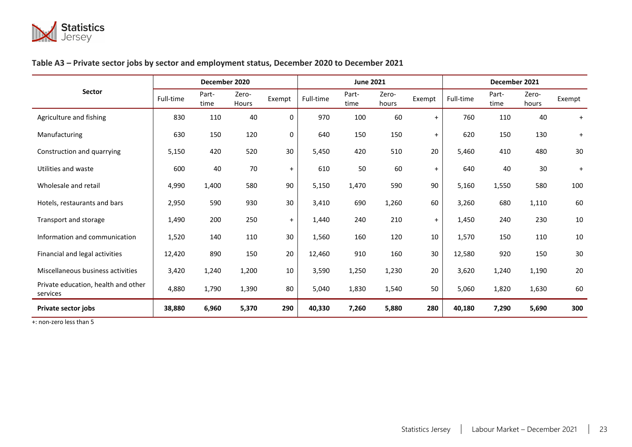

# **Table A3 – Private sector jobs by sector and employment status, December 2020 to December 2021**

|                                                 |           | December 2020 |                |           |           | <b>June 2021</b> |                |           | December 2021 |               |                |           |  |
|-------------------------------------------------|-----------|---------------|----------------|-----------|-----------|------------------|----------------|-----------|---------------|---------------|----------------|-----------|--|
| <b>Sector</b>                                   | Full-time | Part-<br>time | Zero-<br>Hours | Exempt    | Full-time | Part-<br>time    | Zero-<br>hours | Exempt    | Full-time     | Part-<br>time | Zero-<br>hours | Exempt    |  |
| Agriculture and fishing                         | 830       | 110           | 40             | 0         | 970       | 100              | 60             | $+$       | 760           | 110           | 40             | $+$       |  |
| Manufacturing                                   | 630       | 150           | 120            | 0         | 640       | 150              | 150            | $+$       | 620           | 150           | 130            | $\ddot{}$ |  |
| Construction and quarrying                      | 5,150     | 420           | 520            | 30        | 5,450     | 420              | 510            | 20        | 5,460         | 410           | 480            | 30        |  |
| Utilities and waste                             | 600       | 40            | 70             | $\ddot{}$ | 610       | 50               | 60             | $\ddot{}$ | 640           | 40            | 30             | $+$       |  |
| Wholesale and retail                            | 4,990     | 1,400         | 580            | 90        | 5,150     | 1,470            | 590            | 90        | 5,160         | 1,550         | 580            | 100       |  |
| Hotels, restaurants and bars                    | 2,950     | 590           | 930            | 30        | 3,410     | 690              | 1,260          | 60        | 3,260         | 680           | 1,110          | 60        |  |
| Transport and storage                           | 1,490     | 200           | 250            | $+$       | 1,440     | 240              | 210            | $+$       | 1,450         | 240           | 230            | 10        |  |
| Information and communication                   | 1,520     | 140           | 110            | 30        | 1,560     | 160              | 120            | 10        | 1,570         | 150           | 110            | 10        |  |
| Financial and legal activities                  | 12,420    | 890           | 150            | 20        | 12,460    | 910              | 160            | 30        | 12,580        | 920           | 150            | 30        |  |
| Miscellaneous business activities               | 3,420     | 1,240         | 1,200          | 10        | 3,590     | 1,250            | 1,230          | 20        | 3,620         | 1,240         | 1,190          | 20        |  |
| Private education, health and other<br>services | 4,880     | 1,790         | 1,390          | 80        | 5,040     | 1,830            | 1,540          | 50        | 5,060         | 1,820         | 1,630          | 60        |  |
| <b>Private sector jobs</b>                      | 38,880    | 6,960         | 5,370          | 290       | 40,330    | 7,260            | 5,880          | 280       | 40,180        | 7,290         | 5,690          | 300       |  |

<span id="page-22-0"></span>+: non-zero less than 5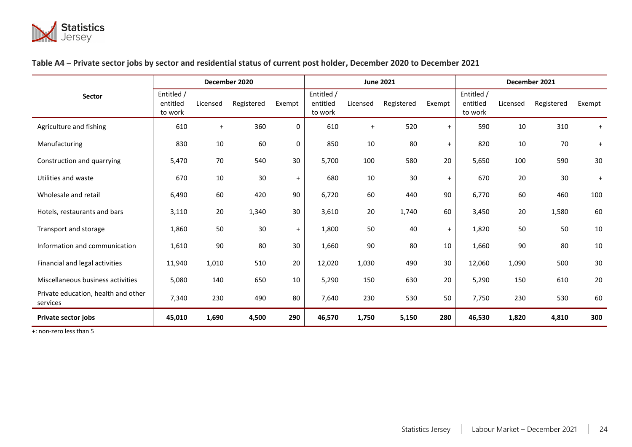

# **Table A4 – Private sector jobs by sector and residential status of current post holder, December 2020 to December 2021**

|                                                 |                                   |           | December 2020 |        |                                   |          | <b>June 2021</b> |        | December 2021                     |          |            |           |
|-------------------------------------------------|-----------------------------------|-----------|---------------|--------|-----------------------------------|----------|------------------|--------|-----------------------------------|----------|------------|-----------|
| <b>Sector</b>                                   | Entitled /<br>entitled<br>to work | Licensed  | Registered    | Exempt | Entitled /<br>entitled<br>to work | Licensed | Registered       | Exempt | Entitled /<br>entitled<br>to work | Licensed | Registered | Exempt    |
| Agriculture and fishing                         | 610                               | $\ddot{}$ | 360           | 0      | 610                               | $+$      | 520              | $+$    | 590                               | 10       | 310        | $+$       |
| Manufacturing                                   | 830                               | 10        | 60            | 0      | 850                               | 10       | 80               | $+$    | 820                               | 10       | 70         | $\ddot{}$ |
| Construction and quarrying                      | 5,470                             | 70        | 540           | 30     | 5,700                             | 100      | 580              | 20     | 5,650                             | 100      | 590        | 30        |
| Utilities and waste                             | 670                               | 10        | 30            | $+$    | 680                               | 10       | 30               | $+$    | 670                               | 20       | 30         | $\ddot{}$ |
| Wholesale and retail                            | 6,490                             | 60        | 420           | 90     | 6,720                             | 60       | 440              | 90     | 6,770                             | 60       | 460        | 100       |
| Hotels, restaurants and bars                    | 3,110                             | 20        | 1,340         | 30     | 3,610                             | 20       | 1,740            | 60     | 3,450                             | 20       | 1,580      | 60        |
| Transport and storage                           | 1,860                             | 50        | 30            | $+$    | 1,800                             | 50       | 40               | $+$    | 1,820                             | 50       | 50         | 10        |
| Information and communication                   | 1,610                             | 90        | 80            | 30     | 1,660                             | 90       | 80               | 10     | 1,660                             | 90       | 80         | 10        |
| Financial and legal activities                  | 11,940                            | 1,010     | 510           | 20     | 12,020                            | 1,030    | 490              | 30     | 12,060                            | 1,090    | 500        | 30        |
| Miscellaneous business activities               | 5,080                             | 140       | 650           | 10     | 5,290                             | 150      | 630              | 20     | 5,290                             | 150      | 610        | 20        |
| Private education, health and other<br>services | 7,340                             | 230       | 490           | 80     | 7,640                             | 230      | 530              | 50     | 7,750                             | 230      | 530        | 60        |
| <b>Private sector jobs</b>                      | 45,010                            | 1,690     | 4,500         | 290    | 46,570                            | 1,750    | 5,150            | 280    | 46,530                            | 1,820    | 4,810      | 300       |

<span id="page-23-0"></span>+: non-zero less than 5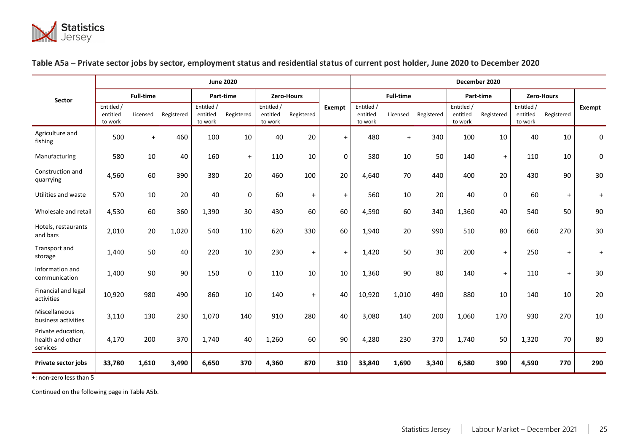

|                                                    |                                   | <b>June 2020</b> |            |                                   |            |                                   |                   |             |                                   |                  | December 2020 |                                   |            |                                   |            |               |  |
|----------------------------------------------------|-----------------------------------|------------------|------------|-----------------------------------|------------|-----------------------------------|-------------------|-------------|-----------------------------------|------------------|---------------|-----------------------------------|------------|-----------------------------------|------------|---------------|--|
| <b>Sector</b>                                      |                                   | <b>Full-time</b> |            |                                   | Part-time  |                                   | <b>Zero-Hours</b> |             |                                   | <b>Full-time</b> |               |                                   | Part-time  |                                   | Zero-Hours |               |  |
|                                                    | Entitled /<br>entitled<br>to work | Licensed         | Registered | Entitled /<br>entitled<br>to work | Registered | Entitled /<br>entitled<br>to work | Registered        | Exempt      | Entitled /<br>entitled<br>to work | Licensed         | Registered    | Entitled /<br>entitled<br>to work | Registered | Entitled /<br>entitled<br>to work | Registered | <b>Exempt</b> |  |
| Agriculture and<br>fishing                         | 500                               | $+$              | 460        | 100                               | 10         | 40                                | 20                | $+$         | 480                               | $+$              | 340           | 100                               | 10         | 40                                | 10         | 0             |  |
| Manufacturing                                      | 580                               | 10               | 40         | 160                               | $\ddot{}$  | 110                               | 10                | $\mathbf 0$ | 580                               | 10               | 50            | 140                               | $\ddot{}$  | 110                               | 10         | 0             |  |
| Construction and<br>quarrying                      | 4,560                             | 60               | 390        | 380                               | 20         | 460                               | 100               | 20          | 4,640                             | 70               | 440           | 400                               | 20         | 430                               | 90         | 30            |  |
| Utilities and waste                                | 570                               | 10               | 20         | 40                                | 0          | 60                                | $\ddot{}$         | $\ddot{}$   | 560                               | 10               | 20            | 40                                | 0          | 60                                | $+$        | $\ddot{}$     |  |
| Wholesale and retail                               | 4,530                             | 60               | 360        | 1,390                             | 30         | 430                               | 60                | 60          | 4,590                             | 60               | 340           | 1,360                             | 40         | 540                               | 50         | 90            |  |
| Hotels, restaurants<br>and bars                    | 2,010                             | 20               | 1,020      | 540                               | 110        | 620                               | 330               | 60          | 1,940                             | 20               | 990           | 510                               | 80         | 660                               | 270        | 30            |  |
| Transport and<br>storage                           | 1,440                             | 50               | 40         | 220                               | 10         | 230                               | $\ddot{}$         | $+$         | 1,420                             | 50               | 30            | 200                               | $\ddot{}$  | 250                               | $+$        | $\ddot{}$     |  |
| Information and<br>communication                   | 1,400                             | 90               | 90         | 150                               | 0          | 110                               | 10                | 10          | 1,360                             | 90               | 80            | 140                               | $\ddot{}$  | 110                               | $+$        | 30            |  |
| Financial and legal<br>activities                  | 10,920                            | 980              | 490        | 860                               | 10         | 140                               | $\ddot{}$         | 40          | 10,920                            | 1,010            | 490           | 880                               | 10         | 140                               | 10         | 20            |  |
| Miscellaneous<br>business activities               | 3,110                             | 130              | 230        | 1,070                             | 140        | 910                               | 280               | 40          | 3,080                             | 140              | 200           | 1,060                             | 170        | 930                               | 270        | 10            |  |
| Private education,<br>health and other<br>services | 4,170                             | 200              | 370        | 1,740                             | 40         | 1,260                             | 60                | 90          | 4,280                             | 230              | 370           | 1,740                             | 50         | 1,320                             | 70         | 80            |  |
| <b>Private sector jobs</b>                         | 33,780                            | 1,610            | 3,490      | 6,650                             | 370        | 4,360                             | 870               | 310         | 33,840                            | 1,690            | 3,340         | 6,580                             | 390        | 4,590                             | 770        | 290           |  |

# <span id="page-24-1"></span>**Table A5a – Private sector jobs by sector, employment status and residential status of current post holder, June 2020 to December 2020**

<span id="page-24-0"></span>+: non-zero less than 5

Continued on the following page in [Table A5b.](#page-25-0)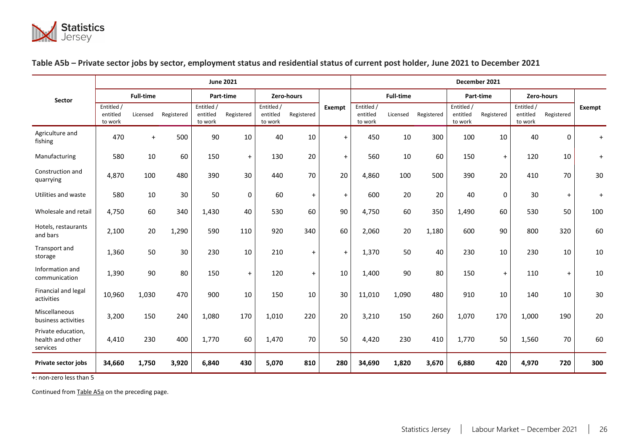

#### **Sector June 2021 December 2021 Full-time Part-time Zero-hours Exempt Full-time Part-time Zero-hours** Entitled / Entitled / Entitled **/ Entitled / Entitled / Entitled / Entitled / Entitled / Entitled / Entitled / Entitled / Entitled / Entitled / Entitled / Entitled / Entitled / Entitled / Entitled / Entitled / Entitled / E** entitled to work Licensed Registered Entitled / entitled to work Registered Entitled / entitled to work Registered Entitled / entitled to work Licensed Registered Entitled / entitled to work Registered Entitled / entitled to work Registered Agriculture and fishing <sup>470</sup> <sup>+</sup> <sup>500</sup> <sup>90</sup> <sup>10</sup> <sup>40</sup> <sup>10</sup> <sup>+</sup> <sup>450</sup> <sup>10</sup> <sup>300</sup> <sup>100</sup> <sup>10</sup> <sup>40</sup> <sup>0</sup> <sup>+</sup> Manufacturing | 580 10 60 | 150 + | 130 20 | + | 560 10 60 | 150 + | 120 10 | + Construction and quarrying 4,870 <sup>100</sup> <sup>480</sup> <sup>390</sup> <sup>30</sup> <sup>440</sup> <sup>70</sup> <sup>20</sup> 4,860 <sup>100</sup> <sup>500</sup> <sup>390</sup> <sup>20</sup> <sup>410</sup> <sup>70</sup> <sup>30</sup> Utilities and waste | 580 10 30 || 50 0 || 60 + || + || 600 20 20 || 40 || 0 || 30 + || + Wholesale and retail | 4,750 60 340 | 1,430 40 | 530 60 | 90 | 4,750 60 350 | 1,490 60 | 530 50 | 100 Hotels, restaurants and bars 2,100 <sup>20</sup> 1,290 <sup>590</sup> <sup>110</sup> <sup>920</sup> <sup>340</sup> <sup>60</sup> 2,060 <sup>20</sup> 1,180 <sup>600</sup> <sup>90</sup> <sup>800</sup> <sup>320</sup> <sup>60</sup> Transport and storage | 1,360 50 30 230 10 210 + + 1,370 50 40 230 10 230 10 10<br>storage Information and communication 1,390 90 80 150 + 120 + 10 1,400 90 80 150 + 110 + 10 Financial and legal activities 10,960 1,030 <sup>470</sup> <sup>900</sup> <sup>10</sup> <sup>150</sup> <sup>10</sup> <sup>30</sup> 11,010 1,090 <sup>480</sup> <sup>910</sup> <sup>10</sup> <sup>140</sup> <sup>10</sup> <sup>30</sup> Miscellaneous business activities | 3,200 150 240 1,080 170 1,010 220 20 3,210 150 260 1,070 170 1,000 190 20 Private education, health and other services 4,410 230 400 | 1,770 60 | 1,470 70 | 50 | 4,420 230 410 | 1,770 50 | 1,560 70 | 60 **Private sector jobs 34,660 1,750 3,920 6,840 430 5,070 810 280 34,690 1,820 3,670 6,880 420 4,970 720 300**

#### <span id="page-25-0"></span>**Table A5b – Private sector jobs by sector, employment status and residential status of current post holder, June 2021 to December 2021**

+: non-zero less than 5

Continued fro[m Table A5a](#page-24-1) on the preceding page.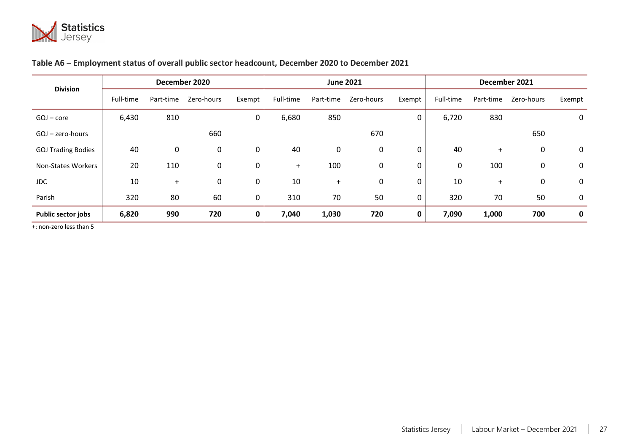

# **Table A6 – Employment status of overall public sector headcount, December 2020 to December 2021**

| <b>Division</b>           |           | December 2020 |            |             |           | <b>June 2021</b> |             |        | December 2021 |           |            |             |  |  |
|---------------------------|-----------|---------------|------------|-------------|-----------|------------------|-------------|--------|---------------|-----------|------------|-------------|--|--|
|                           | Full-time | Part-time     | Zero-hours | Exempt      | Full-time | Part-time        | Zero-hours  | Exempt | Full-time     | Part-time | Zero-hours | Exempt      |  |  |
| $GOJ$ – core              | 6,430     | 810           |            | 0           | 6,680     | 850              |             | 0      | 6,720         | 830       |            | 0           |  |  |
| GOJ - zero-hours          |           |               | 660        |             |           |                  | 670         |        |               |           | 650        |             |  |  |
| <b>GOJ Trading Bodies</b> | 40        | $\mathbf 0$   | 0          | 0           | 40        | 0                | $\mathbf 0$ | 0      | 40            | $+$       | 0          | $\mathbf 0$ |  |  |
| Non-States Workers        | 20        | 110           | 0          | 0           | $+$       | 100              | 0           | 0      | 0             | 100       | 0          | $\mathbf 0$ |  |  |
| <b>JDC</b>                | 10        | $\ddot{}$     | 0          | 0           | 10        | $\ddot{}$        | 0           | 0      | 10            | $\ddot{}$ | 0          | 0           |  |  |
| Parish                    | 320       | 80            | 60         | $\mathbf 0$ | 310       | 70               | 50          | 0      | 320           | 70        | 50         | 0           |  |  |
| Public sector jobs        | 6,820     | 990           | 720        | $\mathbf 0$ | 7,040     | 1,030            | 720         | 0      | 7,090         | 1,000     | 700        | $\mathbf 0$ |  |  |

<span id="page-26-1"></span><span id="page-26-0"></span>+: non-zero less than 5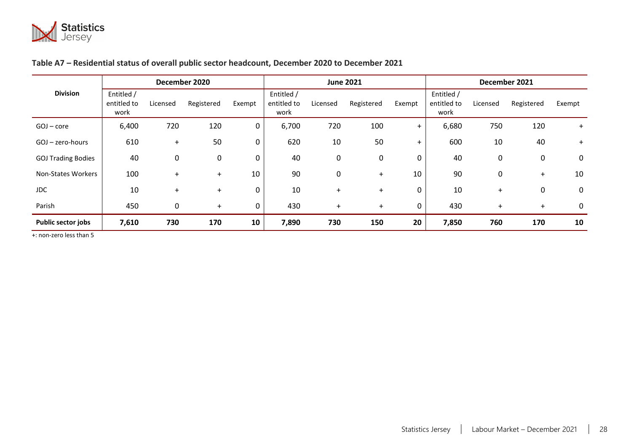

# **Table A7 – Residential status of overall public sector headcount, December 2020 to December 2021**

|                           |                                   | December 2020 |            |             |                                   | <b>June 2021</b> |             |           | December 2021                     |          |            |             |  |  |
|---------------------------|-----------------------------------|---------------|------------|-------------|-----------------------------------|------------------|-------------|-----------|-----------------------------------|----------|------------|-------------|--|--|
| <b>Division</b>           | Entitled /<br>entitled to<br>work | Licensed      | Registered | Exempt      | Entitled /<br>entitled to<br>work | Licensed         | Registered  | Exempt    | Entitled /<br>entitled to<br>work | Licensed | Registered | Exempt      |  |  |
| GOJ - core                | 6,400                             | 720           | 120        | $\mathbf 0$ | 6,700                             | 720              | 100         | $+$       | 6,680                             | 750      | 120        | $+$         |  |  |
| $GOJ - zero-hours$        | 610                               | $\ddot{}$     | 50         | 0           | 620                               | 10               | 50          | $\ddot{}$ | 600                               | 10       | 40         | $+$         |  |  |
| <b>GOJ Trading Bodies</b> | 40                                | 0             | 0          | 0           | 40                                | 0                | $\mathbf 0$ | 0         | 40                                | 0        | 0          | $\mathbf 0$ |  |  |
| Non-States Workers        | 100                               | $+$           | $+$        | 10          | 90                                | 0                | $+$         | 10        | 90                                | 0        | $+$        | 10          |  |  |
| JDC.                      | 10                                | $+$           | $+$        | 0           | 10                                | $\ddot{}$        | $+$         | 0         | 10                                | $\pm$    | 0          | 0           |  |  |
| Parish                    | 450                               | 0             | $+$        | 0           | 430                               | $\ddot{}$        | $+$         | 0         | 430                               | $\pm$    | $+$        | 0           |  |  |
| Public sector jobs        | 7,610                             | 730           | 170        | 10          | 7,890                             | 730              | 150         | 20        | 7,850                             | 760      | 170        | 10          |  |  |

+: non-zero less than 5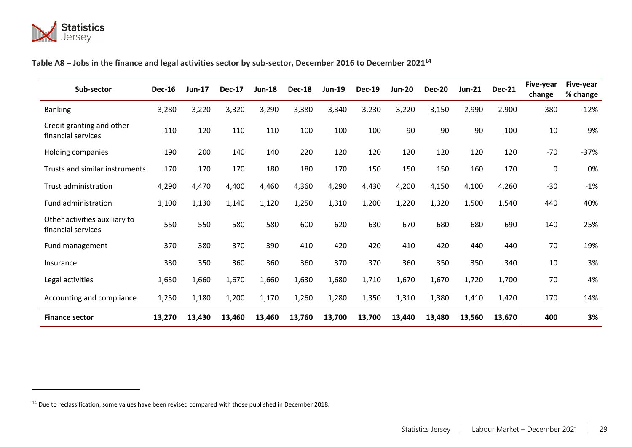

# **Table A8 – Jobs in the finance and legal activities sector by sub-sector, December 2016 to December 2021 14**

<span id="page-28-1"></span>

| Sub-sector                                          | <b>Dec-16</b> | <b>Jun-17</b> | <b>Dec-17</b> | <b>Jun-18</b> | <b>Dec-18</b> | <b>Jun-19</b> | <b>Dec-19</b> | <b>Jun-20</b> | <b>Dec-20</b> | <b>Jun-21</b> | <b>Dec-21</b> | Five-year<br>change | Five-year<br>% change |
|-----------------------------------------------------|---------------|---------------|---------------|---------------|---------------|---------------|---------------|---------------|---------------|---------------|---------------|---------------------|-----------------------|
| <b>Banking</b>                                      | 3,280         | 3,220         | 3,320         | 3,290         | 3,380         | 3,340         | 3,230         | 3,220         | 3,150         | 2,990         | 2,900         | $-380$              | $-12%$                |
| Credit granting and other<br>financial services     | 110           | 120           | 110           | 110           | 100           | 100           | 100           | 90            | 90            | 90            | 100           | $-10$               | $-9%$                 |
| Holding companies                                   | 190           | 200           | 140           | 140           | 220           | 120           | 120           | 120           | 120           | 120           | 120           | $-70$               | $-37%$                |
| Trusts and similar instruments                      | 170           | 170           | 170           | 180           | 180           | 170           | 150           | 150           | 150           | 160           | 170           | 0                   | 0%                    |
| <b>Trust administration</b>                         | 4,290         | 4,470         | 4,400         | 4,460         | 4,360         | 4,290         | 4,430         | 4,200         | 4,150         | 4,100         | 4,260         | $-30$               | $-1%$                 |
| Fund administration                                 | 1,100         | 1,130         | 1,140         | 1,120         | 1,250         | 1,310         | 1,200         | 1,220         | 1,320         | 1,500         | 1,540         | 440                 | 40%                   |
| Other activities auxiliary to<br>financial services | 550           | 550           | 580           | 580           | 600           | 620           | 630           | 670           | 680           | 680           | 690           | 140                 | 25%                   |
| Fund management                                     | 370           | 380           | 370           | 390           | 410           | 420           | 420           | 410           | 420           | 440           | 440           | 70                  | 19%                   |
| Insurance                                           | 330           | 350           | 360           | 360           | 360           | 370           | 370           | 360           | 350           | 350           | 340           | 10                  | 3%                    |
| Legal activities                                    | 1,630         | 1,660         | 1,670         | 1,660         | 1,630         | 1,680         | 1,710         | 1,670         | 1,670         | 1,720         | 1,700         | 70                  | 4%                    |
| Accounting and compliance                           | 1,250         | 1,180         | 1,200         | 1,170         | 1,260         | 1,280         | 1,350         | 1,310         | 1,380         | 1,410         | 1,420         | 170                 | 14%                   |
| <b>Finance sector</b>                               | 13,270        | 13,430        | 13,460        | 13,460        | 13,760        | 13,700        | 13,700        | 13,440        | 13,480        | 13,560        | 13,670        | 400                 | 3%                    |

<span id="page-28-0"></span><sup>&</sup>lt;sup>14</sup> Due to reclassification, some values have been revised compared with those published in December 2018.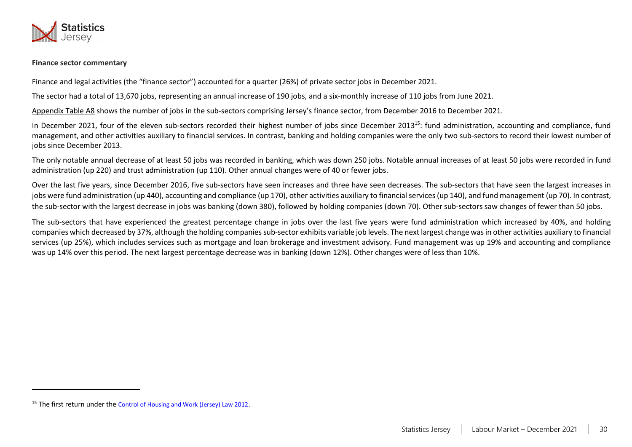

#### **Finance sector commentary**

Finance and legal activities (the "finance sector") accounted for a quarter (26%) of private sector jobs in December 2021.

The sector had a total of 13,670 jobs, representing an annual increase of 190 jobs, and a six-monthly increase of 110 jobs from June 2021.

[Appendix Table A8](#page-28-1) shows the number of jobs in the sub-sectors comprising Jersey's finance sector, from December 2016 to December 2021.

In December 2021, four of the eleven sub-sectors recorded their highest number of jobs since December 2013<sup>15</sup>; fund administration, accounting and compliance, fund management, and other activities auxiliary to financial services. In contrast, banking and holding companies were the only two sub-sectors to record their lowest number of jobs since December 2013.

The only notable annual decrease of at least 50 jobs was recorded in banking, which was down 250 jobs. Notable annual increases of at least 50 jobs were recorded in fund administration (up 220) and trust administration (up 110). Other annual changes were of 40 or fewer jobs.

Over the last five years, since December 2016, five sub-sectors have seen increases and three have seen decreases. The sub-sectors that have seen the largest increases in jobs were fund administration (up 440), accounting and compliance (up 170), other activities auxiliary to financial services (up 140), and fund management (up 70). In contrast, the sub-sector with the largest decrease in jobs was banking (down 380), followed by holding companies (down 70). Other sub-sectors saw changes of fewer than 50 jobs.

The sub-sectors that have experienced the greatest percentage change in jobs over the last five years were fund administration which increased by 40%, and holding companies which decreased by 37%, although the holding companies sub-sector exhibits variable job levels. The next largest change was in other activities auxiliary to financial services (up 25%), which includes services such as mortgage and loan brokerage and investment advisory. Fund management was up 19% and accounting and compliance was up 14% over this period. The next largest percentage decrease was in banking (down 12%). Other changes were of less than 10%.

<sup>15</sup> The first return under the [Control of Housing and Work \(Jersey\) Law 2012](https://www.jerseylaw.je/laws/revised/Pages/18.150.aspx).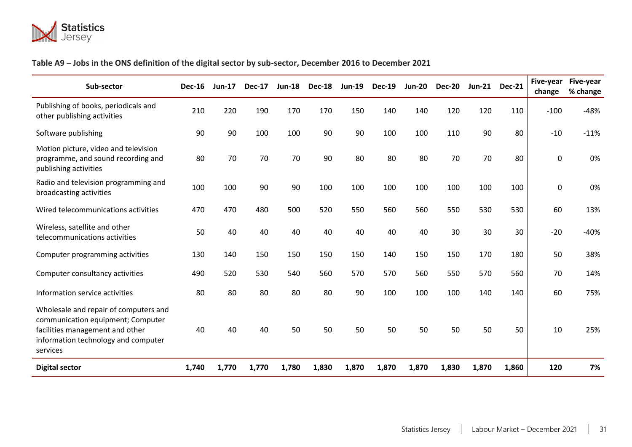

# <span id="page-30-1"></span>**Table A9 – Jobs in the ONS definition of the digital sector by sub-sector, December 2016 to December 2021**

<span id="page-30-0"></span>

| Sub-sector                                                                                                                                                       | <b>Dec-16</b> | $Jun-17$ | <b>Dec-17</b> | <b>Jun-18</b> | <b>Dec-18</b> | <b>Jun-19</b> | <b>Dec-19</b> | $Jun-20$ | <b>Dec-20</b> | <b>Jun-21</b> | <b>Dec-21</b> | Five-year<br>change | Five-year<br>% change |
|------------------------------------------------------------------------------------------------------------------------------------------------------------------|---------------|----------|---------------|---------------|---------------|---------------|---------------|----------|---------------|---------------|---------------|---------------------|-----------------------|
| Publishing of books, periodicals and<br>other publishing activities                                                                                              | 210           | 220      | 190           | 170           | 170           | 150           | 140           | 140      | 120           | 120           | 110           | $-100$              | $-48%$                |
| Software publishing                                                                                                                                              | 90            | 90       | 100           | 100           | 90            | 90            | 100           | 100      | 110           | 90            | 80            | $-10$               | $-11%$                |
| Motion picture, video and television<br>programme, and sound recording and<br>publishing activities                                                              | 80            | 70       | 70            | 70            | 90            | 80            | 80            | 80       | 70            | 70            | 80            | $\mathbf 0$         | 0%                    |
| Radio and television programming and<br>broadcasting activities                                                                                                  | 100           | 100      | 90            | 90            | 100           | 100           | 100           | 100      | 100           | 100           | 100           | $\mathbf 0$         | 0%                    |
| Wired telecommunications activities                                                                                                                              | 470           | 470      | 480           | 500           | 520           | 550           | 560           | 560      | 550           | 530           | 530           | 60                  | 13%                   |
| Wireless, satellite and other<br>telecommunications activities                                                                                                   | 50            | 40       | 40            | 40            | 40            | 40            | 40            | 40       | 30            | 30            | 30            | $-20$               | $-40%$                |
| Computer programming activities                                                                                                                                  | 130           | 140      | 150           | 150           | 150           | 150           | 140           | 150      | 150           | 170           | 180           | 50                  | 38%                   |
| Computer consultancy activities                                                                                                                                  | 490           | 520      | 530           | 540           | 560           | 570           | 570           | 560      | 550           | 570           | 560           | 70                  | 14%                   |
| Information service activities                                                                                                                                   | 80            | 80       | 80            | 80            | 80            | 90            | 100           | 100      | 100           | 140           | 140           | 60                  | 75%                   |
| Wholesale and repair of computers and<br>communication equipment; Computer<br>facilities management and other<br>information technology and computer<br>services | 40            | 40       | 40            | 50            | 50            | 50            | 50            | 50       | 50            | 50            | 50            | 10                  | 25%                   |
| <b>Digital sector</b>                                                                                                                                            | 1,740         | 1,770    | 1,770         | 1,780         | 1,830         | 1,870         | 1,870         | 1,870    | 1,830         | 1,870         | 1,860         | 120                 | 7%                    |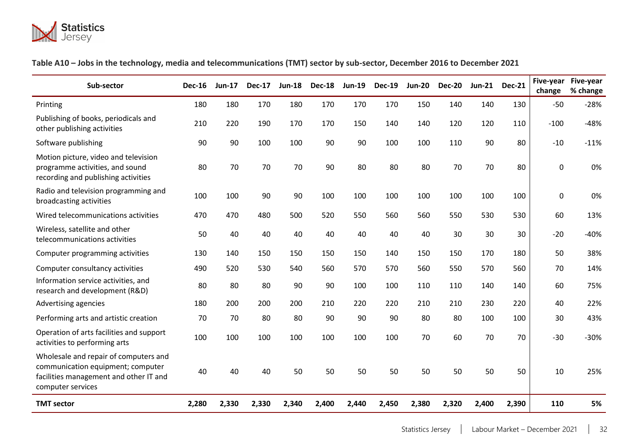

# <span id="page-31-1"></span>**Table A10 – Jobs in the technology, media and telecommunications (TMT) sector by sub-sector, December 2016 to December 2021**

<span id="page-31-0"></span>

| Sub-sector                                                                                                                                | <b>Dec-16</b> | <b>Jun-17</b> | <b>Dec-17</b> | $Jun-18$ | <b>Dec-18</b> | <b>Jun-19</b> | <b>Dec-19</b> | <b>Jun-20</b> | <b>Dec-20</b> | <b>Jun-21</b> | <b>Dec-21</b> | Five-year<br>change | Five-year<br>% change |
|-------------------------------------------------------------------------------------------------------------------------------------------|---------------|---------------|---------------|----------|---------------|---------------|---------------|---------------|---------------|---------------|---------------|---------------------|-----------------------|
| Printing                                                                                                                                  | 180           | 180           | 170           | 180      | 170           | 170           | 170           | 150           | 140           | 140           | 130           | $-50$               | $-28%$                |
| Publishing of books, periodicals and<br>other publishing activities                                                                       | 210           | 220           | 190           | 170      | 170           | 150           | 140           | 140           | 120           | 120           | 110           | $-100$              | $-48%$                |
| Software publishing                                                                                                                       | 90            | 90            | 100           | 100      | 90            | 90            | 100           | 100           | 110           | 90            | 80            | $-10$               | $-11%$                |
| Motion picture, video and television<br>programme activities, and sound<br>recording and publishing activities                            | 80            | 70            | 70            | 70       | 90            | 80            | 80            | 80            | 70            | 70            | 80            | 0                   | 0%                    |
| Radio and television programming and<br>broadcasting activities                                                                           | 100           | 100           | 90            | 90       | 100           | 100           | 100           | 100           | 100           | 100           | 100           | 0                   | 0%                    |
| Wired telecommunications activities                                                                                                       | 470           | 470           | 480           | 500      | 520           | 550           | 560           | 560           | 550           | 530           | 530           | 60                  | 13%                   |
| Wireless, satellite and other<br>telecommunications activities                                                                            | 50            | 40            | 40            | 40       | 40            | 40            | 40            | 40            | 30            | 30            | 30            | $-20$               | $-40%$                |
| Computer programming activities                                                                                                           | 130           | 140           | 150           | 150      | 150           | 150           | 140           | 150           | 150           | 170           | 180           | 50                  | 38%                   |
| Computer consultancy activities                                                                                                           | 490           | 520           | 530           | 540      | 560           | 570           | 570           | 560           | 550           | 570           | 560           | 70                  | 14%                   |
| Information service activities, and<br>research and development (R&D)                                                                     | 80            | 80            | 80            | 90       | 90            | 100           | 100           | 110           | 110           | 140           | 140           | 60                  | 75%                   |
| Advertising agencies                                                                                                                      | 180           | 200           | 200           | 200      | 210           | 220           | 220           | 210           | 210           | 230           | 220           | 40                  | 22%                   |
| Performing arts and artistic creation                                                                                                     | 70            | 70            | 80            | 80       | 90            | 90            | 90            | 80            | 80            | 100           | 100           | 30                  | 43%                   |
| Operation of arts facilities and support<br>activities to performing arts                                                                 | 100           | 100           | 100           | 100      | 100           | 100           | 100           | 70            | 60            | 70            | 70            | $-30$               | $-30%$                |
| Wholesale and repair of computers and<br>communication equipment; computer<br>facilities management and other IT and<br>computer services | 40            | 40            | 40            | 50       | 50            | 50            | 50            | 50            | 50            | 50            | 50            | 10                  | 25%                   |
| <b>TMT sector</b>                                                                                                                         | 2,280         | 2,330         | 2,330         | 2,340    | 2,400         | 2,440         | 2,450         | 2,380         | 2,320         | 2,400         | 2,390         | 110                 | 5%                    |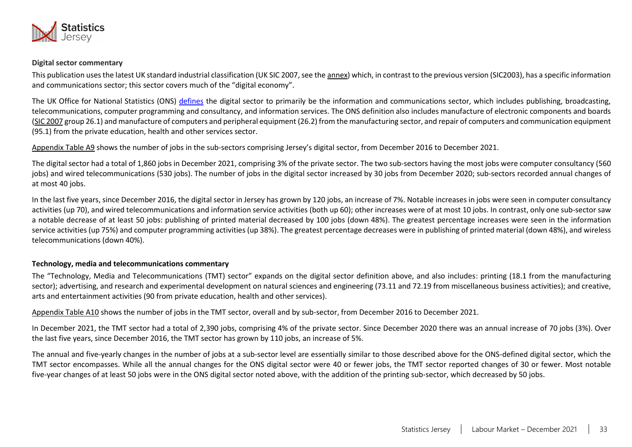

#### <span id="page-32-0"></span>**Digital sector commentary**

This publication uses the latest UK standard industrial classification (UK SIC 2007, see the [annex\)](#page-17-1) which, in contrast to the previous version (SIC2003), has a specific information and communications sector; this sector covers much of the "digital economy".

The UK Office for National Statistics (ONS) [defines](https://www.ons.gov.uk/businessindustryandtrade/itandinternetindustry/articles/ecommerceandinternetuse/2015-10-08) the digital sector to primarily be the information and communications sector, which includes publishing, broadcasting, telecommunications, computer programming and consultancy, and information services. The ONS definition also includes manufacture of electronic components and boards [\(SIC 2007](#page-17-1) group 26.1) and manufacture of computers and peripheral equipment (26.2) from the manufacturing sector, and repair of computers and communication equipment (95.1) from the private education, health and other services sector.

[Appendix Table A9](#page-30-1) shows the number of jobs in the sub-sectors comprising Jersey's digital sector, from December 2016 to December 2021.

The digital sector had a total of 1,860 jobs in December 2021, comprising 3% of the private sector. The two sub-sectors having the most jobs were computer consultancy (560 jobs) and wired telecommunications (530 jobs). The number of jobs in the digital sector increased by 30 jobs from December 2020; sub-sectors recorded annual changes of at most 40 jobs.

In the last five years, since December 2016, the digital sector in Jersey has grown by 120 jobs, an increase of 7%. Notable increases in jobs were seen in computer consultancy activities (up 70), and wired telecommunications and information service activities (both up 60); other increases were of at most 10 jobs. In contrast, only one sub-sector saw a notable decrease of at least 50 jobs: publishing of printed material decreased by 100 jobs (down 48%). The greatest percentage increases were seen in the information service activities (up 75%) and computer programming activities (up 38%). The greatest percentage decreases were in publishing of printed material (down 48%), and wireless telecommunications (down 40%).

#### **Technology, media and telecommunications commentary**

The "Technology, Media and Telecommunications (TMT) sector" expands on the digital sector definition above, and also includes: printing (18.1 from the manufacturing sector); advertising, and research and experimental development on natural sciences and engineering (73.11 and 72.19 from miscellaneous business activities); and creative, arts and entertainment activities (90 from private education, health and other services).

[Appendix Table A10](#page-31-1) shows the number of jobs in the TMT sector, overall and by sub-sector, from December 2016 to December 2021.

In December 2021, the TMT sector had a total of 2,390 jobs, comprising 4% of the private sector. Since December 2020 there was an annual increase of 70 jobs (3%). Over the last five years, since December 2016, the TMT sector has grown by 110 jobs, an increase of 5%.

The annual and five-yearly changes in the number of jobs at a sub-sector level are essentially similar to those described above for the ONS-defined digital sector, which the TMT sector encompasses. While all the annual changes for the ONS digital sector were 40 or fewer jobs, the TMT sector reported changes of 30 or fewer. Most notable five-year changes of at least 50 jobs were in the ONS digital sector noted above, with the addition of the printing sub-sector, which decreased by 50 jobs.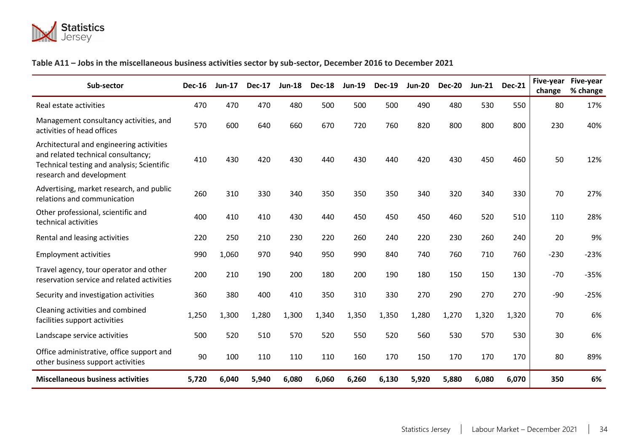

# **Table A11 – Jobs in the miscellaneous business activities sector by sub-sector, December 2016 to December 2021**

<span id="page-33-0"></span>

| Sub-sector                                                                                                                                               | <b>Dec-16</b> | <b>Jun-17</b> | <b>Dec-17</b> | <b>Jun-18</b> | <b>Dec-18</b> | <b>Jun-19</b> | <b>Dec-19</b> | <b>Jun-20</b> | <b>Dec-20</b> | <b>Jun-21</b> | <b>Dec-21</b> | Five-year<br>change | Five-year<br>% change |
|----------------------------------------------------------------------------------------------------------------------------------------------------------|---------------|---------------|---------------|---------------|---------------|---------------|---------------|---------------|---------------|---------------|---------------|---------------------|-----------------------|
| Real estate activities                                                                                                                                   | 470           | 470           | 470           | 480           | 500           | 500           | 500           | 490           | 480           | 530           | 550           | 80                  | 17%                   |
| Management consultancy activities, and<br>activities of head offices                                                                                     | 570           | 600           | 640           | 660           | 670           | 720           | 760           | 820           | 800           | 800           | 800           | 230                 | 40%                   |
| Architectural and engineering activities<br>and related technical consultancy;<br>Technical testing and analysis; Scientific<br>research and development | 410           | 430           | 420           | 430           | 440           | 430           | 440           | 420           | 430           | 450           | 460           | 50                  | 12%                   |
| Advertising, market research, and public<br>relations and communication                                                                                  | 260           | 310           | 330           | 340           | 350           | 350           | 350           | 340           | 320           | 340           | 330           | 70                  | 27%                   |
| Other professional, scientific and<br>technical activities                                                                                               | 400           | 410           | 410           | 430           | 440           | 450           | 450           | 450           | 460           | 520           | 510           | 110                 | 28%                   |
| Rental and leasing activities                                                                                                                            | 220           | 250           | 210           | 230           | 220           | 260           | 240           | 220           | 230           | 260           | 240           | 20                  | 9%                    |
| <b>Employment activities</b>                                                                                                                             | 990           | 1,060         | 970           | 940           | 950           | 990           | 840           | 740           | 760           | 710           | 760           | $-230$              | $-23%$                |
| Travel agency, tour operator and other<br>reservation service and related activities                                                                     | 200           | 210           | 190           | 200           | 180           | 200           | 190           | 180           | 150           | 150           | 130           | $-70$               | $-35%$                |
| Security and investigation activities                                                                                                                    | 360           | 380           | 400           | 410           | 350           | 310           | 330           | 270           | 290           | 270           | 270           | $-90$               | $-25%$                |
| Cleaning activities and combined<br>facilities support activities                                                                                        | 1,250         | 1,300         | 1,280         | 1,300         | 1,340         | 1,350         | 1,350         | 1,280         | 1,270         | 1,320         | 1,320         | 70                  | 6%                    |
| Landscape service activities                                                                                                                             | 500           | 520           | 510           | 570           | 520           | 550           | 520           | 560           | 530           | 570           | 530           | 30                  | 6%                    |
| Office administrative, office support and<br>other business support activities                                                                           | 90            | 100           | 110           | 110           | 110           | 160           | 170           | 150           | 170           | 170           | 170           | 80                  | 89%                   |
| <b>Miscellaneous business activities</b>                                                                                                                 | 5,720         | 6,040         | 5,940         | 6,080         | 6,060         | 6,260         | 6,130         | 5,920         | 5,880         | 6,080         | 6,070         | 350                 | 6%                    |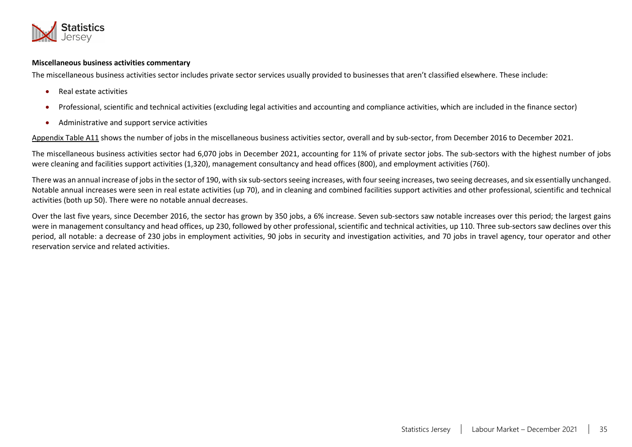

#### **Miscellaneous business activities commentary**

The miscellaneous business activities sector includes private sector services usually provided to businesses that aren't classified elsewhere. These include:

- Real estate activities
- Professional, scientific and technical activities (excluding legal activities and accounting and compliance activities, which are included in the finance sector)
- Administrative and support service activities

[Appendix Table A11](#page-32-0) shows the number of jobs in the miscellaneous business activities sector, overall and by sub-sector, from December 2016 to December 2021.

The miscellaneous business activities sector had 6,070 jobs in December 2021, accounting for 11% of private sector jobs. The sub-sectors with the highest number of jobs were cleaning and facilities support activities (1,320), management consultancy and head offices (800), and employment activities (760).

There was an annual increase of jobs in the sector of 190, with six sub-sectors seeing increases, with four seeing increases, two seeing decreases, and six essentially unchanged. Notable annual increases were seen in real estate activities (up 70), and in cleaning and combined facilities support activities and other professional, scientific and technical activities (both up 50). There were no notable annual decreases.

Over the last five years, since December 2016, the sector has grown by 350 jobs, a 6% increase. Seven sub-sectors saw notable increases over this period; the largest gains were in management consultancy and head offices, up 230, followed by other professional, scientific and technical activities, up 110. Three sub-sectors saw declines over this period, all notable: a decrease of 230 jobs in employment activities, 90 jobs in security and investigation activities, and 70 jobs in travel agency, tour operator and other reservation service and related activities.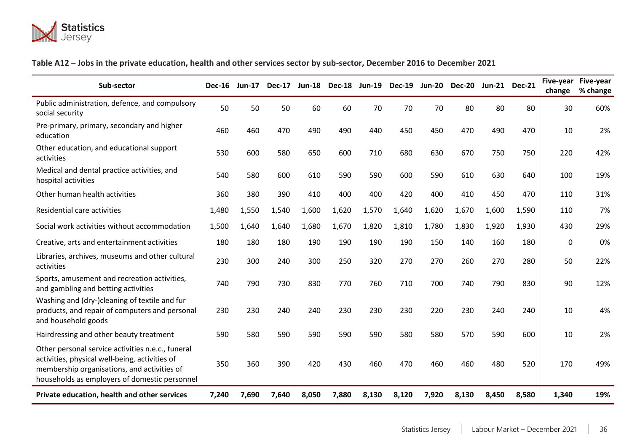

# <span id="page-35-1"></span>**Table A12 – Jobs in the private education, health and other services sector by sub-sector, December 2016 to December 2021**

<span id="page-35-0"></span>

| Sub-sector                                                                                                                                                                                          | <b>Dec-16</b> | $Jun-17$ | <b>Dec-17</b> | $Jun-18$ | <b>Dec-18</b> | $Jun-19$ | <b>Dec-19</b> | $Jun-20$ | <b>Dec-20</b> |       | Jun-21 Dec-21 | change | Five-year Five-year<br>% change |
|-----------------------------------------------------------------------------------------------------------------------------------------------------------------------------------------------------|---------------|----------|---------------|----------|---------------|----------|---------------|----------|---------------|-------|---------------|--------|---------------------------------|
| Public administration, defence, and compulsory<br>social security                                                                                                                                   | 50            | 50       | 50            | 60       | 60            | 70       | 70            | 70       | 80            | 80    | 80            | 30     | 60%                             |
| Pre-primary, primary, secondary and higher<br>education                                                                                                                                             | 460           | 460      | 470           | 490      | 490           | 440      | 450           | 450      | 470           | 490   | 470           | 10     | 2%                              |
| Other education, and educational support<br>activities                                                                                                                                              | 530           | 600      | 580           | 650      | 600           | 710      | 680           | 630      | 670           | 750   | 750           | 220    | 42%                             |
| Medical and dental practice activities, and<br>hospital activities                                                                                                                                  | 540           | 580      | 600           | 610      | 590           | 590      | 600           | 590      | 610           | 630   | 640           | 100    | 19%                             |
| Other human health activities                                                                                                                                                                       | 360           | 380      | 390           | 410      | 400           | 400      | 420           | 400      | 410           | 450   | 470           | 110    | 31%                             |
| Residential care activities                                                                                                                                                                         | 1,480         | 1,550    | 1,540         | 1,600    | 1,620         | 1,570    | 1,640         | 1,620    | 1,670         | 1,600 | 1,590         | 110    | 7%                              |
| Social work activities without accommodation                                                                                                                                                        | 1,500         | 1,640    | 1,640         | 1,680    | 1,670         | 1,820    | 1,810         | 1,780    | 1,830         | 1,920 | 1,930         | 430    | 29%                             |
| Creative, arts and entertainment activities                                                                                                                                                         | 180           | 180      | 180           | 190      | 190           | 190      | 190           | 150      | 140           | 160   | 180           | 0      | 0%                              |
| Libraries, archives, museums and other cultural<br>activities                                                                                                                                       | 230           | 300      | 240           | 300      | 250           | 320      | 270           | 270      | 260           | 270   | 280           | 50     | 22%                             |
| Sports, amusement and recreation activities,<br>and gambling and betting activities                                                                                                                 | 740           | 790      | 730           | 830      | 770           | 760      | 710           | 700      | 740           | 790   | 830           | 90     | 12%                             |
| Washing and (dry-)cleaning of textile and fur<br>products, and repair of computers and personal<br>and household goods                                                                              | 230           | 230      | 240           | 240      | 230           | 230      | 230           | 220      | 230           | 240   | 240           | 10     | 4%                              |
| Hairdressing and other beauty treatment                                                                                                                                                             | 590           | 580      | 590           | 590      | 590           | 590      | 580           | 580      | 570           | 590   | 600           | 10     | 2%                              |
| Other personal service activities n.e.c., funeral<br>activities, physical well-being, activities of<br>membership organisations, and activities of<br>households as employers of domestic personnel | 350           | 360      | 390           | 420      | 430           | 460      | 470           | 460      | 460           | 480   | 520           | 170    | 49%                             |
| Private education, health and other services                                                                                                                                                        | 7,240         | 7,690    | 7,640         | 8,050    | 7,880         | 8,130    | 8,120         | 7,920    | 8,130         | 8,450 | 8,580         | 1,340  | 19%                             |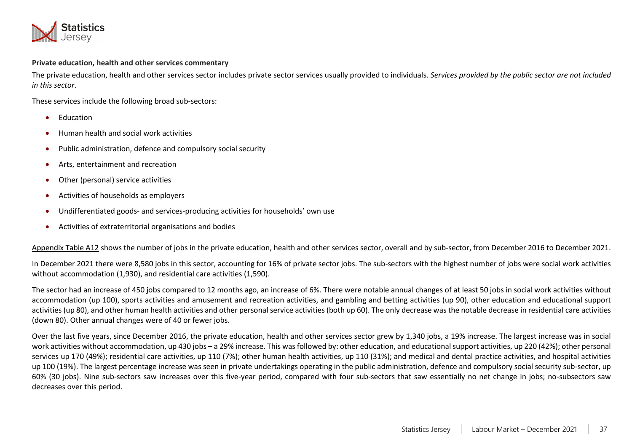

#### **Private education, health and other services commentary**

The private education, health and other services sector includes private sector services usually provided to individuals. *Services provided by the public sector are not included in this sector*.

These services include the following broad sub-sectors:

- Education
- Human health and social work activities
- Public administration, defence and compulsory social security
- Arts, entertainment and recreation
- Other (personal) service activities
- Activities of households as employers
- Undifferentiated goods- and services-producing activities for households' own use
- Activities of extraterritorial organisations and bodies

[Appendix Table A12](#page-35-1) shows the number of jobs in the private education, health and other services sector, overall and by sub-sector, from December 2016 to December 2021.

In December 2021 there were 8,580 jobs in this sector, accounting for 16% of private sector jobs. The sub-sectors with the highest number of jobs were social work activities without accommodation (1,930), and residential care activities (1,590).

The sector had an increase of 450 jobs compared to 12 months ago, an increase of 6%. There were notable annual changes of at least 50 jobs in social work activities without accommodation (up 100), sports activities and amusement and recreation activities, and gambling and betting activities (up 90), other education and educational support activities (up 80), and other human health activities and other personal service activities (both up 60). The only decrease was the notable decrease in residential care activities (down 80). Other annual changes were of 40 or fewer jobs.

Over the last five years, since December 2016, the private education, health and other services sector grew by 1,340 jobs, a 19% increase. The largest increase was in social work activities without accommodation, up 430 jobs – a 29% increase. This was followed by: other education, and educational support activities, up 220 (42%); other personal services up 170 (49%); residential care activities, up 110 (7%); other human health activities, up 110 (31%); and medical and dental practice activities, and hospital activities up 100 (19%). The largest percentage increase was seen in private undertakings operating in the public administration, defence and compulsory social security sub-sector, up 60% (30 jobs). Nine sub-sectors saw increases over this five-year period, compared with four sub-sectors that saw essentially no net change in jobs; no-subsectors saw decreases over this period.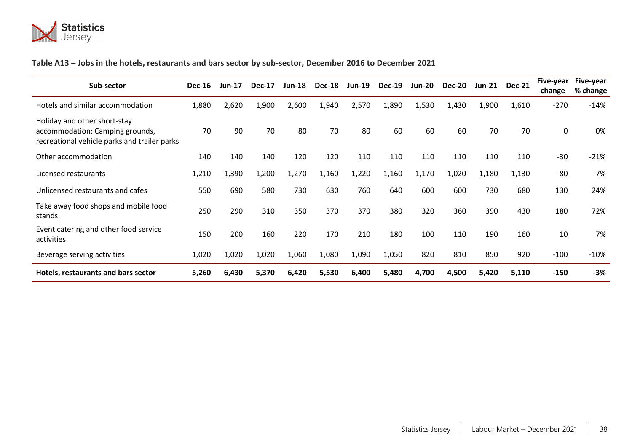

# <span id="page-37-1"></span>**Table A13 – Jobs in the hotels, restaurants and bars sector by sub-sector, December 2016 to December 2021**

<span id="page-37-0"></span>

| Sub-sector                                                                                                      | <b>Dec-16</b> | <b>Jun-17</b> | <b>Dec-17</b> | <b>Jun-18</b> | <b>Dec-18</b> | $Jun-19$ | <b>Dec-19</b> | <b>Jun-20</b> | <b>Dec-20</b> | Jun-21 | <b>Dec-21</b> | Five-year<br>change | Five-year<br>% change |
|-----------------------------------------------------------------------------------------------------------------|---------------|---------------|---------------|---------------|---------------|----------|---------------|---------------|---------------|--------|---------------|---------------------|-----------------------|
| Hotels and similar accommodation                                                                                | 1,880         | 2,620         | 1,900         | 2,600         | 1,940         | 2,570    | 1,890         | 1,530         | 1,430         | 1,900  | 1,610         | $-270$              | $-14%$                |
| Holiday and other short-stay<br>accommodation; Camping grounds,<br>recreational vehicle parks and trailer parks | 70            | 90            | 70            | 80            | 70            | 80       | 60            | 60            | 60            | 70     | 70            | 0                   | 0%                    |
| Other accommodation                                                                                             | 140           | 140           | 140           | 120           | 120           | 110      | 110           | 110           | 110           | 110    | 110           | $-30$               | $-21%$                |
| Licensed restaurants                                                                                            | 1,210         | 1,390         | 1,200         | 1,270         | 1,160         | 1,220    | 1,160         | 1,170         | 1,020         | 1,180  | 1,130         | $-80$               | $-7%$                 |
| Unlicensed restaurants and cafes                                                                                | 550           | 690           | 580           | 730           | 630           | 760      | 640           | 600           | 600           | 730    | 680           | 130                 | 24%                   |
| Take away food shops and mobile food<br>stands                                                                  | 250           | 290           | 310           | 350           | 370           | 370      | 380           | 320           | 360           | 390    | 430           | 180                 | 72%                   |
| Event catering and other food service<br>activities                                                             | 150           | 200           | 160           | 220           | 170           | 210      | 180           | 100           | 110           | 190    | 160           | 10                  | 7%                    |
| Beverage serving activities                                                                                     | 1,020         | 1,020         | 1,020         | 1,060         | 1,080         | 1,090    | 1,050         | 820           | 810           | 850    | 920           | $-100$              | $-10%$                |
| Hotels, restaurants and bars sector                                                                             | 5,260         | 6,430         | 5,370         | 6,420         | 5,530         | 6,400    | 5,480         | 4,700         | 4,500         | 5,420  | 5,110         | $-150$              | $-3%$                 |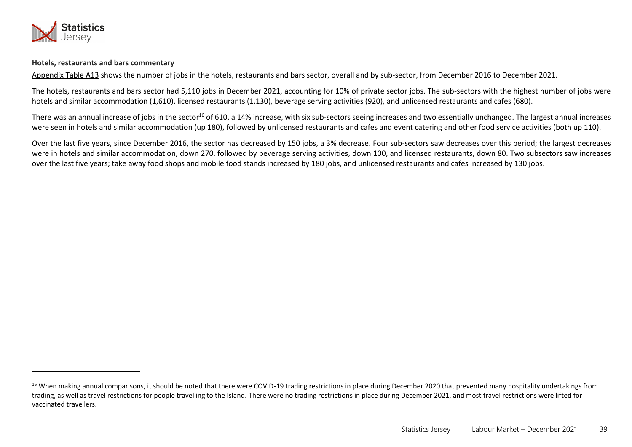

#### **Hotels, restaurants and bars commentary**

[Appendix Table A13](#page-37-1) shows the number of jobs in the hotels, restaurants and bars sector, overall and by sub-sector, from December 2016 to December 2021.

The hotels, restaurants and bars sector had 5,110 jobs in December 2021, accounting for 10% of private sector jobs. The sub-sectors with the highest number of jobs were hotels and similar accommodation (1,610), licensed restaurants (1,130), beverage serving activities (920), and unlicensed restaurants and cafes (680).

There was an annual increase of jobs in the sector<sup>16</sup> of 610, a 14% increase, with six sub-sectors seeing increases and two essentially unchanged. The largest annual increases were seen in hotels and similar accommodation (up 180), followed by unlicensed restaurants and cafes and event catering and other food service activities (both up 110).

Over the last five years, since December 2016, the sector has decreased by 150 jobs, a 3% decrease. Four sub-sectors saw decreases over this period; the largest decreases were in hotels and similar accommodation, down 270, followed by beverage serving activities, down 100, and licensed restaurants, down 80. Two subsectors saw increases over the last five years; take away food shops and mobile food stands increased by 180 jobs, and unlicensed restaurants and cafes increased by 130 jobs.

<sup>&</sup>lt;sup>16</sup> When making annual comparisons, it should be noted that there were COVID-19 trading restrictions in place during December 2020 that prevented many hospitality undertakings from trading, as well as travel restrictions for people travelling to the Island. There were no trading restrictions in place during December 2021, and most travel restrictions were lifted for vaccinated travellers.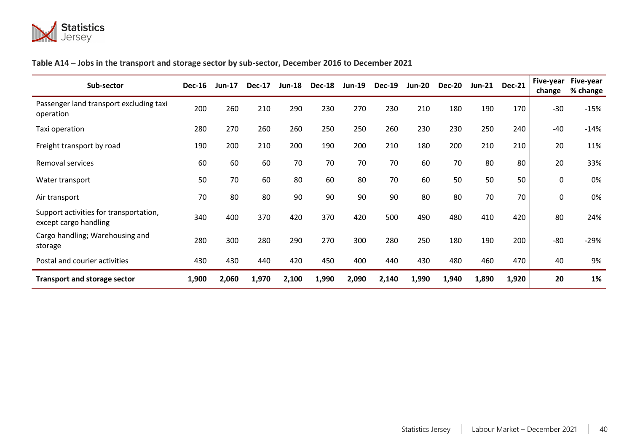

# <span id="page-39-1"></span>**Table A14 – Jobs in the transport and storage sector by sub-sector, December 2016 to December 2021**

<span id="page-39-0"></span>

| Sub-sector                                                      | <b>Dec-16</b> | $Jun-17$ | <b>Dec-17</b> | <b>Jun-18</b> | <b>Dec-18</b> | <b>Jun-19</b> | <b>Dec-19</b> | <b>Jun-20</b> | <b>Dec-20</b> | <b>Jun-21</b> | <b>Dec-21</b> | Five-year<br>change | Five-year<br>% change |
|-----------------------------------------------------------------|---------------|----------|---------------|---------------|---------------|---------------|---------------|---------------|---------------|---------------|---------------|---------------------|-----------------------|
| Passenger land transport excluding taxi<br>operation            | 200           | 260      | 210           | 290           | 230           | 270           | 230           | 210           | 180           | 190           | 170           | $-30$               | $-15%$                |
| Taxi operation                                                  | 280           | 270      | 260           | 260           | 250           | 250           | 260           | 230           | 230           | 250           | 240           | $-40$               | $-14%$                |
| Freight transport by road                                       | 190           | 200      | 210           | 200           | 190           | 200           | 210           | 180           | 200           | 210           | 210           | 20                  | 11%                   |
| Removal services                                                | 60            | 60       | 60            | 70            | 70            | 70            | 70            | 60            | 70            | 80            | 80            | 20                  | 33%                   |
| Water transport                                                 | 50            | 70       | 60            | 80            | 60            | 80            | 70            | 60            | 50            | 50            | 50            | 0                   | 0%                    |
| Air transport                                                   | 70            | 80       | 80            | 90            | 90            | 90            | 90            | 80            | 80            | 70            | 70            | 0                   | 0%                    |
| Support activities for transportation,<br>except cargo handling | 340           | 400      | 370           | 420           | 370           | 420           | 500           | 490           | 480           | 410           | 420           | 80                  | 24%                   |
| Cargo handling; Warehousing and<br>storage                      | 280           | 300      | 280           | 290           | 270           | 300           | 280           | 250           | 180           | 190           | 200           | $-80$               | $-29%$                |
| Postal and courier activities                                   | 430           | 430      | 440           | 420           | 450           | 400           | 440           | 430           | 480           | 460           | 470           | 40                  | 9%                    |
| <b>Transport and storage sector</b>                             | 1,900         | 2,060    | 1,970         | 2,100         | 1,990         | 2,090         | 2,140         | 1,990         | 1,940         | 1,890         | 1,920         | 20                  | 1%                    |